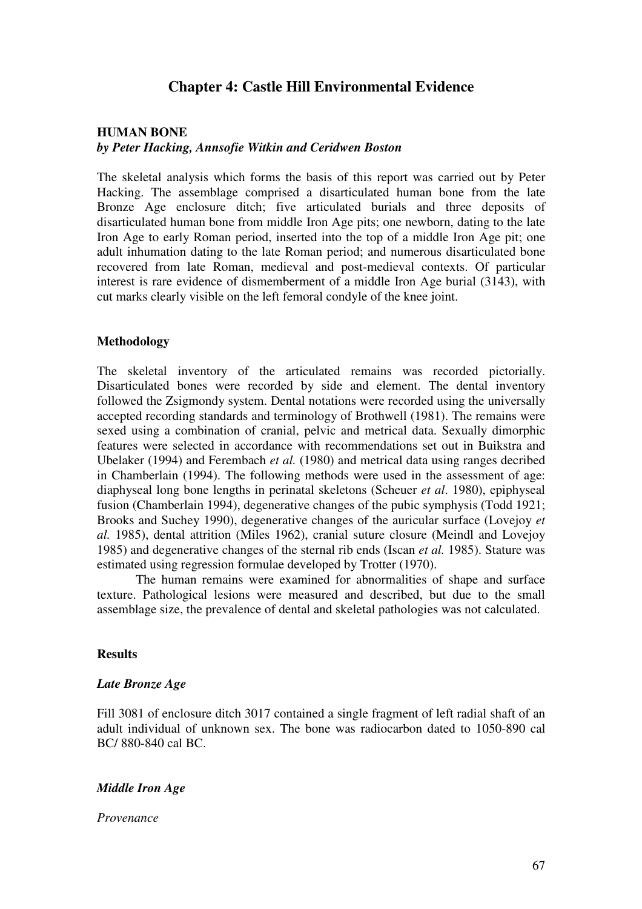# **Chapter 4: Castle Hill Environmental Evidence**

# **HUMAN BONE**  *by Peter Hacking, Annsofie Witkin and Ceridwen Boston*

The skeletal analysis which forms the basis of this report was carried out by Peter Hacking. The assemblage comprised a disarticulated human bone from the late Bronze Age enclosure ditch; five articulated burials and three deposits of disarticulated human bone from middle Iron Age pits; one newborn, dating to the late Iron Age to early Roman period, inserted into the top of a middle Iron Age pit; one adult inhumation dating to the late Roman period; and numerous disarticulated bone recovered from late Roman, medieval and post-medieval contexts. Of particular interest is rare evidence of dismemberment of a middle Iron Age burial (3143), with cut marks clearly visible on the left femoral condyle of the knee joint.

### **Methodology**

The skeletal inventory of the articulated remains was recorded pictorially. Disarticulated bones were recorded by side and element. The dental inventory followed the Zsigmondy system. Dental notations were recorded using the universally accepted recording standards and terminology of Brothwell (1981). The remains were sexed using a combination of cranial, pelvic and metrical data. Sexually dimorphic features were selected in accordance with recommendations set out in Buikstra and Ubelaker (1994) and Ferembach *et al.* (1980) and metrical data using ranges decribed in Chamberlain (1994). The following methods were used in the assessment of age: diaphyseal long bone lengths in perinatal skeletons (Scheuer *et al*. 1980), epiphyseal fusion (Chamberlain 1994), degenerative changes of the pubic symphysis (Todd 1921; Brooks and Suchey 1990), degenerative changes of the auricular surface (Lovejoy *et al.* 1985), dental attrition (Miles 1962), cranial suture closure (Meindl and Lovejoy 1985) and degenerative changes of the sternal rib ends (Iscan *et al.* 1985). Stature was estimated using regression formulae developed by Trotter (1970).

 The human remains were examined for abnormalities of shape and surface texture. Pathological lesions were measured and described, but due to the small assemblage size, the prevalence of dental and skeletal pathologies was not calculated.

#### **Results**

#### *Late Bronze Age*

Fill 3081 of enclosure ditch 3017 contained a single fragment of left radial shaft of an adult individual of unknown sex. The bone was radiocarbon dated to 1050-890 cal BC/ 880-840 cal BC.

# *Middle Iron Age*

#### *Provenance*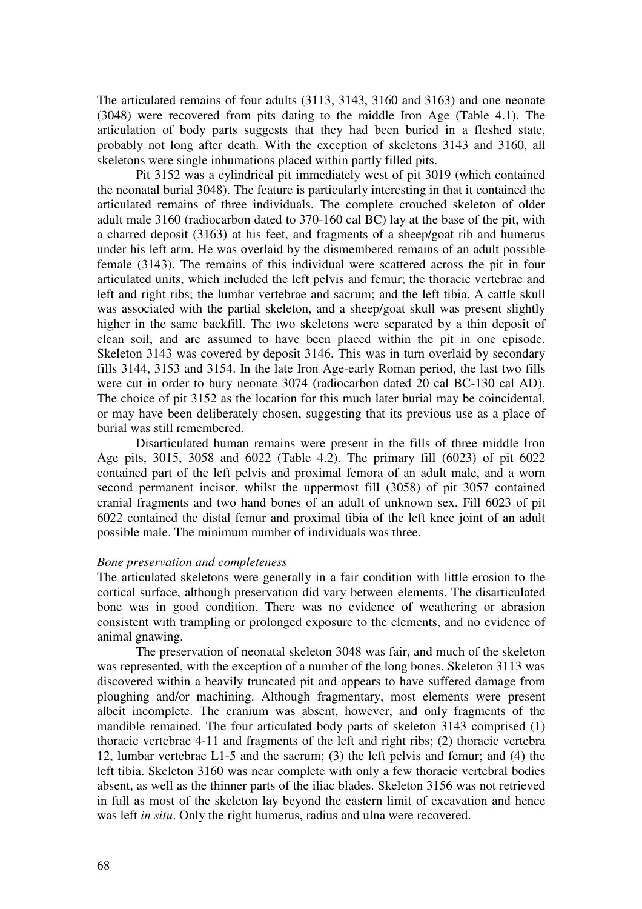The articulated remains of four adults (3113, 3143, 3160 and 3163) and one neonate (3048) were recovered from pits dating to the middle Iron Age (Table 4.1). The articulation of body parts suggests that they had been buried in a fleshed state, probably not long after death. With the exception of skeletons 3143 and 3160, all skeletons were single inhumations placed within partly filled pits.

 Pit 3152 was a cylindrical pit immediately west of pit 3019 (which contained the neonatal burial 3048). The feature is particularly interesting in that it contained the articulated remains of three individuals. The complete crouched skeleton of older adult male 3160 (radiocarbon dated to 370-160 cal BC) lay at the base of the pit, with a charred deposit (3163) at his feet, and fragments of a sheep/goat rib and humerus under his left arm. He was overlaid by the dismembered remains of an adult possible female (3143). The remains of this individual were scattered across the pit in four articulated units, which included the left pelvis and femur; the thoracic vertebrae and left and right ribs; the lumbar vertebrae and sacrum; and the left tibia. A cattle skull was associated with the partial skeleton, and a sheep/goat skull was present slightly higher in the same backfill. The two skeletons were separated by a thin deposit of clean soil, and are assumed to have been placed within the pit in one episode. Skeleton 3143 was covered by deposit 3146. This was in turn overlaid by secondary fills 3144, 3153 and 3154. In the late Iron Age-early Roman period, the last two fills were cut in order to bury neonate 3074 (radiocarbon dated 20 cal BC-130 cal AD). The choice of pit 3152 as the location for this much later burial may be coincidental, or may have been deliberately chosen, suggesting that its previous use as a place of burial was still remembered.

 Disarticulated human remains were present in the fills of three middle Iron Age pits, 3015, 3058 and 6022 (Table 4.2). The primary fill (6023) of pit 6022 contained part of the left pelvis and proximal femora of an adult male, and a worn second permanent incisor, whilst the uppermost fill (3058) of pit 3057 contained cranial fragments and two hand bones of an adult of unknown sex. Fill 6023 of pit 6022 contained the distal femur and proximal tibia of the left knee joint of an adult possible male. The minimum number of individuals was three.

### *Bone preservation and completeness*

The articulated skeletons were generally in a fair condition with little erosion to the cortical surface, although preservation did vary between elements. The disarticulated bone was in good condition. There was no evidence of weathering or abrasion consistent with trampling or prolonged exposure to the elements, and no evidence of animal gnawing.

 The preservation of neonatal skeleton 3048 was fair, and much of the skeleton was represented, with the exception of a number of the long bones. Skeleton 3113 was discovered within a heavily truncated pit and appears to have suffered damage from ploughing and/or machining. Although fragmentary, most elements were present albeit incomplete. The cranium was absent, however, and only fragments of the mandible remained. The four articulated body parts of skeleton 3143 comprised (1) thoracic vertebrae 4-11 and fragments of the left and right ribs; (2) thoracic vertebra 12, lumbar vertebrae L1-5 and the sacrum; (3) the left pelvis and femur; and (4) the left tibia. Skeleton 3160 was near complete with only a few thoracic vertebral bodies absent, as well as the thinner parts of the iliac blades. Skeleton 3156 was not retrieved in full as most of the skeleton lay beyond the eastern limit of excavation and hence was left *in situ*. Only the right humerus, radius and ulna were recovered.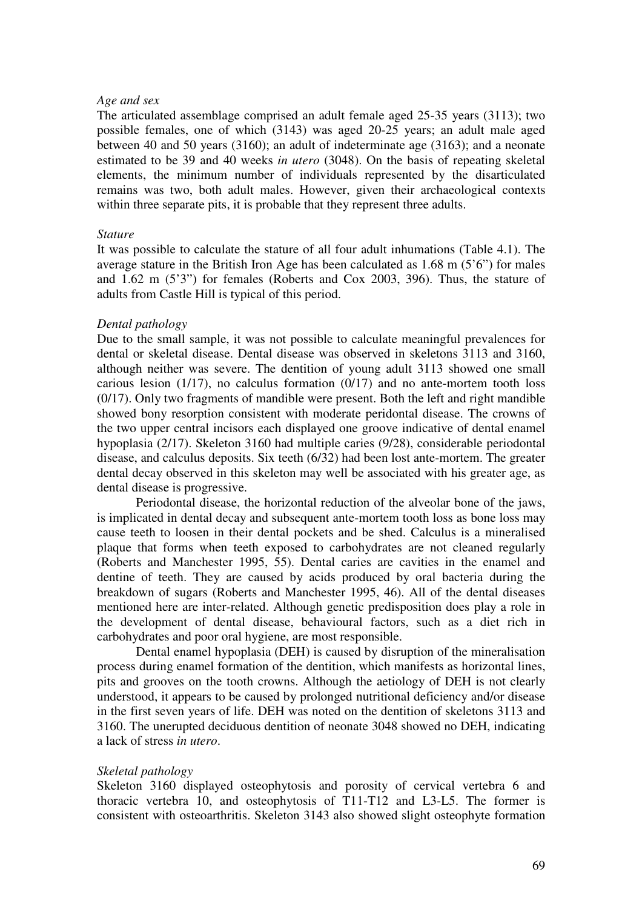### *Age and sex*

The articulated assemblage comprised an adult female aged 25-35 years (3113); two possible females, one of which (3143) was aged 20-25 years; an adult male aged between 40 and 50 years (3160); an adult of indeterminate age (3163); and a neonate estimated to be 39 and 40 weeks *in utero* (3048). On the basis of repeating skeletal elements, the minimum number of individuals represented by the disarticulated remains was two, both adult males. However, given their archaeological contexts within three separate pits, it is probable that they represent three adults.

#### *Stature*

It was possible to calculate the stature of all four adult inhumations (Table 4.1). The average stature in the British Iron Age has been calculated as 1.68 m (5'6") for males and 1.62 m (5'3") for females (Roberts and Cox 2003, 396). Thus, the stature of adults from Castle Hill is typical of this period.

### *Dental pathology*

Due to the small sample, it was not possible to calculate meaningful prevalences for dental or skeletal disease. Dental disease was observed in skeletons 3113 and 3160, although neither was severe. The dentition of young adult 3113 showed one small carious lesion (1/17), no calculus formation (0/17) and no ante-mortem tooth loss (0/17). Only two fragments of mandible were present. Both the left and right mandible showed bony resorption consistent with moderate peridontal disease. The crowns of the two upper central incisors each displayed one groove indicative of dental enamel hypoplasia (2/17). Skeleton 3160 had multiple caries (9/28), considerable periodontal disease, and calculus deposits. Six teeth (6/32) had been lost ante-mortem. The greater dental decay observed in this skeleton may well be associated with his greater age, as dental disease is progressive.

 Periodontal disease, the horizontal reduction of the alveolar bone of the jaws, is implicated in dental decay and subsequent ante-mortem tooth loss as bone loss may cause teeth to loosen in their dental pockets and be shed. Calculus is a mineralised plaque that forms when teeth exposed to carbohydrates are not cleaned regularly (Roberts and Manchester 1995, 55). Dental caries are cavities in the enamel and dentine of teeth. They are caused by acids produced by oral bacteria during the breakdown of sugars (Roberts and Manchester 1995, 46). All of the dental diseases mentioned here are inter-related. Although genetic predisposition does play a role in the development of dental disease, behavioural factors, such as a diet rich in carbohydrates and poor oral hygiene, are most responsible.

 Dental enamel hypoplasia (DEH) is caused by disruption of the mineralisation process during enamel formation of the dentition, which manifests as horizontal lines, pits and grooves on the tooth crowns. Although the aetiology of DEH is not clearly understood, it appears to be caused by prolonged nutritional deficiency and/or disease in the first seven years of life. DEH was noted on the dentition of skeletons 3113 and 3160. The unerupted deciduous dentition of neonate 3048 showed no DEH, indicating a lack of stress *in utero*.

### *Skeletal pathology*

Skeleton 3160 displayed osteophytosis and porosity of cervical vertebra 6 and thoracic vertebra 10, and osteophytosis of T11-T12 and L3-L5. The former is consistent with osteoarthritis. Skeleton 3143 also showed slight osteophyte formation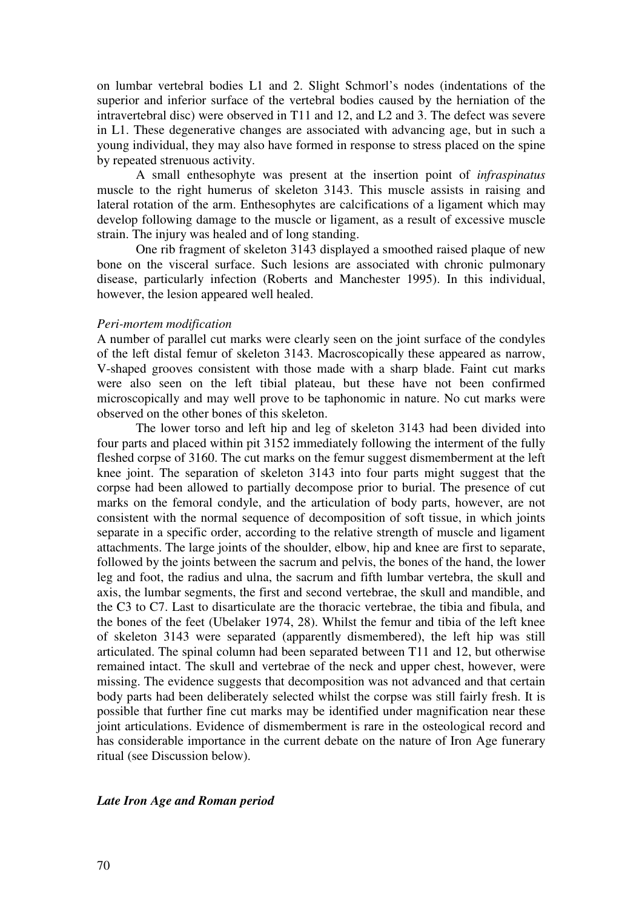on lumbar vertebral bodies L1 and 2. Slight Schmorl's nodes (indentations of the superior and inferior surface of the vertebral bodies caused by the herniation of the intravertebral disc) were observed in T11 and 12, and L2 and 3. The defect was severe in L1. These degenerative changes are associated with advancing age, but in such a young individual, they may also have formed in response to stress placed on the spine by repeated strenuous activity.

A small enthesophyte was present at the insertion point of *infraspinatus* muscle to the right humerus of skeleton 3143. This muscle assists in raising and lateral rotation of the arm. Enthesophytes are calcifications of a ligament which may develop following damage to the muscle or ligament, as a result of excessive muscle strain. The injury was healed and of long standing.

One rib fragment of skeleton 3143 displayed a smoothed raised plaque of new bone on the visceral surface. Such lesions are associated with chronic pulmonary disease, particularly infection (Roberts and Manchester 1995). In this individual, however, the lesion appeared well healed.

#### *Peri-mortem modification*

A number of parallel cut marks were clearly seen on the joint surface of the condyles of the left distal femur of skeleton 3143. Macroscopically these appeared as narrow, V-shaped grooves consistent with those made with a sharp blade. Faint cut marks were also seen on the left tibial plateau, but these have not been confirmed microscopically and may well prove to be taphonomic in nature. No cut marks were observed on the other bones of this skeleton.

 The lower torso and left hip and leg of skeleton 3143 had been divided into four parts and placed within pit 3152 immediately following the interment of the fully fleshed corpse of 3160. The cut marks on the femur suggest dismemberment at the left knee joint. The separation of skeleton 3143 into four parts might suggest that the corpse had been allowed to partially decompose prior to burial. The presence of cut marks on the femoral condyle, and the articulation of body parts, however, are not consistent with the normal sequence of decomposition of soft tissue, in which joints separate in a specific order, according to the relative strength of muscle and ligament attachments. The large joints of the shoulder, elbow, hip and knee are first to separate, followed by the joints between the sacrum and pelvis, the bones of the hand, the lower leg and foot, the radius and ulna, the sacrum and fifth lumbar vertebra, the skull and axis, the lumbar segments, the first and second vertebrae, the skull and mandible, and the C3 to C7. Last to disarticulate are the thoracic vertebrae, the tibia and fibula, and the bones of the feet (Ubelaker 1974, 28). Whilst the femur and tibia of the left knee of skeleton 3143 were separated (apparently dismembered), the left hip was still articulated. The spinal column had been separated between T11 and 12, but otherwise remained intact. The skull and vertebrae of the neck and upper chest, however, were missing. The evidence suggests that decomposition was not advanced and that certain body parts had been deliberately selected whilst the corpse was still fairly fresh. It is possible that further fine cut marks may be identified under magnification near these joint articulations. Evidence of dismemberment is rare in the osteological record and has considerable importance in the current debate on the nature of Iron Age funerary ritual (see Discussion below).

# *Late Iron Age and Roman period*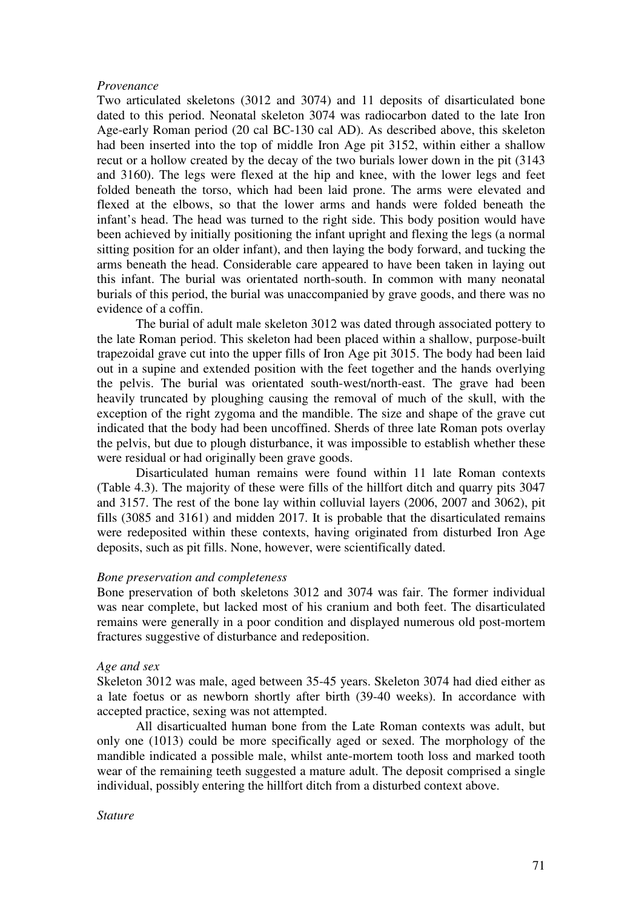### *Provenance*

Two articulated skeletons (3012 and 3074) and 11 deposits of disarticulated bone dated to this period. Neonatal skeleton 3074 was radiocarbon dated to the late Iron Age-early Roman period (20 cal BC-130 cal AD). As described above, this skeleton had been inserted into the top of middle Iron Age pit 3152, within either a shallow recut or a hollow created by the decay of the two burials lower down in the pit (3143 and 3160). The legs were flexed at the hip and knee, with the lower legs and feet folded beneath the torso, which had been laid prone. The arms were elevated and flexed at the elbows, so that the lower arms and hands were folded beneath the infant's head. The head was turned to the right side. This body position would have been achieved by initially positioning the infant upright and flexing the legs (a normal sitting position for an older infant), and then laying the body forward, and tucking the arms beneath the head. Considerable care appeared to have been taken in laying out this infant. The burial was orientated north-south. In common with many neonatal burials of this period, the burial was unaccompanied by grave goods, and there was no evidence of a coffin.

 The burial of adult male skeleton 3012 was dated through associated pottery to the late Roman period. This skeleton had been placed within a shallow, purpose-built trapezoidal grave cut into the upper fills of Iron Age pit 3015. The body had been laid out in a supine and extended position with the feet together and the hands overlying the pelvis. The burial was orientated south-west/north-east. The grave had been heavily truncated by ploughing causing the removal of much of the skull, with the exception of the right zygoma and the mandible. The size and shape of the grave cut indicated that the body had been uncoffined. Sherds of three late Roman pots overlay the pelvis, but due to plough disturbance, it was impossible to establish whether these were residual or had originally been grave goods.

 Disarticulated human remains were found within 11 late Roman contexts (Table 4.3). The majority of these were fills of the hillfort ditch and quarry pits 3047 and 3157. The rest of the bone lay within colluvial layers (2006, 2007 and 3062), pit fills (3085 and 3161) and midden 2017. It is probable that the disarticulated remains were redeposited within these contexts, having originated from disturbed Iron Age deposits, such as pit fills. None, however, were scientifically dated.

#### *Bone preservation and completeness*

Bone preservation of both skeletons 3012 and 3074 was fair. The former individual was near complete, but lacked most of his cranium and both feet. The disarticulated remains were generally in a poor condition and displayed numerous old post-mortem fractures suggestive of disturbance and redeposition.

#### *Age and sex*

Skeleton 3012 was male, aged between 35-45 years. Skeleton 3074 had died either as a late foetus or as newborn shortly after birth (39-40 weeks). In accordance with accepted practice, sexing was not attempted.

 All disarticualted human bone from the Late Roman contexts was adult, but only one (1013) could be more specifically aged or sexed. The morphology of the mandible indicated a possible male, whilst ante-mortem tooth loss and marked tooth wear of the remaining teeth suggested a mature adult. The deposit comprised a single individual, possibly entering the hillfort ditch from a disturbed context above.

# *Stature*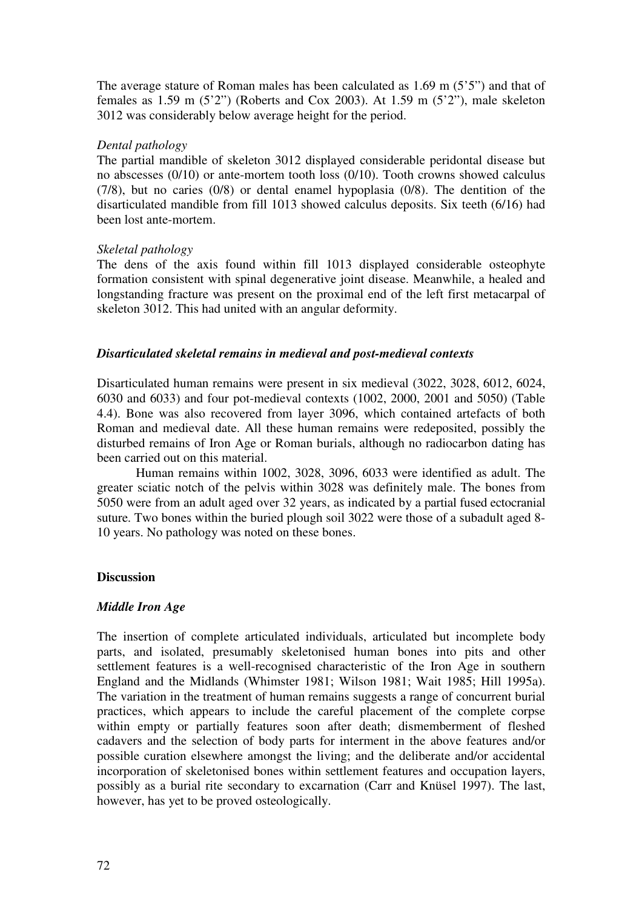The average stature of Roman males has been calculated as 1.69 m (5'5") and that of females as 1.59 m  $(5'2'')$  (Roberts and Cox 2003). At 1.59 m  $(5'2'')$ , male skeleton 3012 was considerably below average height for the period.

# *Dental pathology*

The partial mandible of skeleton 3012 displayed considerable peridontal disease but no abscesses (0/10) or ante-mortem tooth loss (0/10). Tooth crowns showed calculus (7/8), but no caries (0/8) or dental enamel hypoplasia (0/8). The dentition of the disarticulated mandible from fill 1013 showed calculus deposits. Six teeth (6/16) had been lost ante-mortem.

# *Skeletal pathology*

The dens of the axis found within fill 1013 displayed considerable osteophyte formation consistent with spinal degenerative joint disease. Meanwhile, a healed and longstanding fracture was present on the proximal end of the left first metacarpal of skeleton 3012. This had united with an angular deformity.

# *Disarticulated skeletal remains in medieval and post-medieval contexts*

Disarticulated human remains were present in six medieval (3022, 3028, 6012, 6024, 6030 and 6033) and four pot-medieval contexts (1002, 2000, 2001 and 5050) (Table 4.4). Bone was also recovered from layer 3096, which contained artefacts of both Roman and medieval date. All these human remains were redeposited, possibly the disturbed remains of Iron Age or Roman burials, although no radiocarbon dating has been carried out on this material.

 Human remains within 1002, 3028, 3096, 6033 were identified as adult. The greater sciatic notch of the pelvis within 3028 was definitely male. The bones from 5050 were from an adult aged over 32 years, as indicated by a partial fused ectocranial suture. Two bones within the buried plough soil 3022 were those of a subadult aged 8- 10 years. No pathology was noted on these bones.

### **Discussion**

### *Middle Iron Age*

The insertion of complete articulated individuals, articulated but incomplete body parts, and isolated, presumably skeletonised human bones into pits and other settlement features is a well-recognised characteristic of the Iron Age in southern England and the Midlands (Whimster 1981; Wilson 1981; Wait 1985; Hill 1995a). The variation in the treatment of human remains suggests a range of concurrent burial practices, which appears to include the careful placement of the complete corpse within empty or partially features soon after death; dismemberment of fleshed cadavers and the selection of body parts for interment in the above features and/or possible curation elsewhere amongst the living; and the deliberate and/or accidental incorporation of skeletonised bones within settlement features and occupation layers, possibly as a burial rite secondary to excarnation (Carr and Knüsel 1997). The last, however, has yet to be proved osteologically.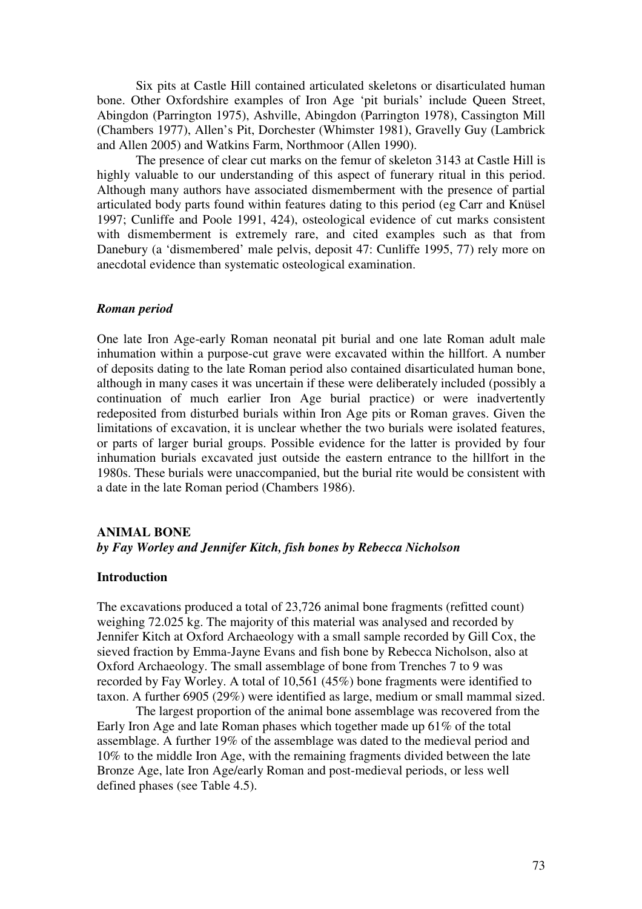Six pits at Castle Hill contained articulated skeletons or disarticulated human bone. Other Oxfordshire examples of Iron Age 'pit burials' include Queen Street, Abingdon (Parrington 1975), Ashville, Abingdon (Parrington 1978), Cassington Mill (Chambers 1977), Allen's Pit, Dorchester (Whimster 1981), Gravelly Guy (Lambrick and Allen 2005) and Watkins Farm, Northmoor (Allen 1990).

The presence of clear cut marks on the femur of skeleton 3143 at Castle Hill is highly valuable to our understanding of this aspect of funerary ritual in this period. Although many authors have associated dismemberment with the presence of partial articulated body parts found within features dating to this period (eg Carr and Knüsel 1997; Cunliffe and Poole 1991, 424), osteological evidence of cut marks consistent with dismemberment is extremely rare, and cited examples such as that from Danebury (a 'dismembered' male pelvis, deposit 47: Cunliffe 1995, 77) rely more on anecdotal evidence than systematic osteological examination.

## *Roman period*

One late Iron Age-early Roman neonatal pit burial and one late Roman adult male inhumation within a purpose-cut grave were excavated within the hillfort. A number of deposits dating to the late Roman period also contained disarticulated human bone, although in many cases it was uncertain if these were deliberately included (possibly a continuation of much earlier Iron Age burial practice) or were inadvertently redeposited from disturbed burials within Iron Age pits or Roman graves. Given the limitations of excavation, it is unclear whether the two burials were isolated features, or parts of larger burial groups. Possible evidence for the latter is provided by four inhumation burials excavated just outside the eastern entrance to the hillfort in the 1980s. These burials were unaccompanied, but the burial rite would be consistent with a date in the late Roman period (Chambers 1986).

# **ANIMAL BONE**  *by Fay Worley and Jennifer Kitch, fish bones by Rebecca Nicholson*

### **Introduction**

The excavations produced a total of 23,726 animal bone fragments (refitted count) weighing 72.025 kg. The majority of this material was analysed and recorded by Jennifer Kitch at Oxford Archaeology with a small sample recorded by Gill Cox, the sieved fraction by Emma-Jayne Evans and fish bone by Rebecca Nicholson, also at Oxford Archaeology. The small assemblage of bone from Trenches 7 to 9 was recorded by Fay Worley. A total of 10,561 (45%) bone fragments were identified to taxon. A further 6905 (29%) were identified as large, medium or small mammal sized.

 The largest proportion of the animal bone assemblage was recovered from the Early Iron Age and late Roman phases which together made up 61% of the total assemblage. A further 19% of the assemblage was dated to the medieval period and 10% to the middle Iron Age, with the remaining fragments divided between the late Bronze Age, late Iron Age/early Roman and post-medieval periods, or less well defined phases (see Table 4.5).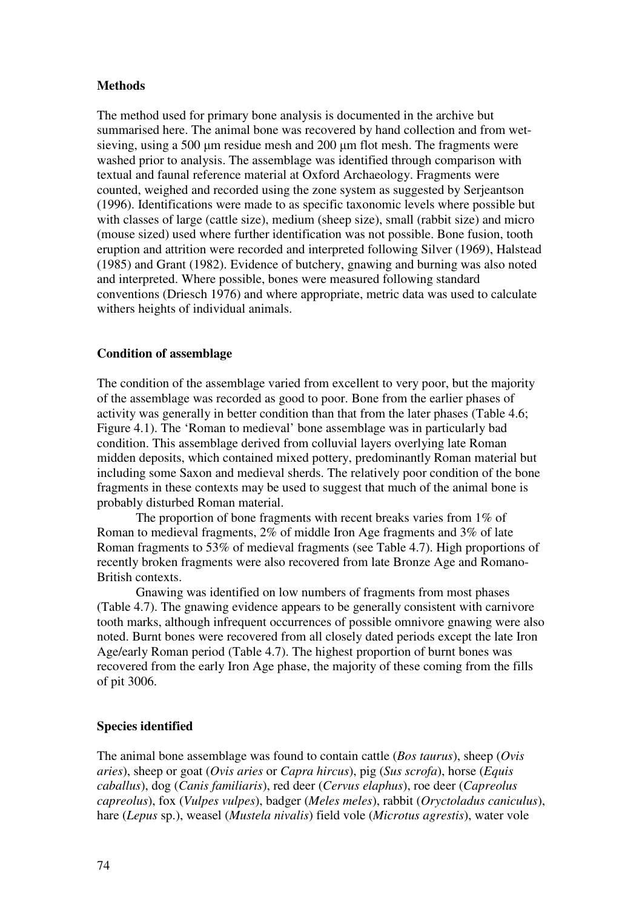# **Methods**

The method used for primary bone analysis is documented in the archive but summarised here. The animal bone was recovered by hand collection and from wetsieving, using a 500 μm residue mesh and 200 μm flot mesh. The fragments were washed prior to analysis. The assemblage was identified through comparison with textual and faunal reference material at Oxford Archaeology. Fragments were counted, weighed and recorded using the zone system as suggested by Serjeantson (1996). Identifications were made to as specific taxonomic levels where possible but with classes of large (cattle size), medium (sheep size), small (rabbit size) and micro (mouse sized) used where further identification was not possible. Bone fusion, tooth eruption and attrition were recorded and interpreted following Silver (1969), Halstead (1985) and Grant (1982). Evidence of butchery, gnawing and burning was also noted and interpreted. Where possible, bones were measured following standard conventions (Driesch 1976) and where appropriate, metric data was used to calculate withers heights of individual animals.

### **Condition of assemblage**

The condition of the assemblage varied from excellent to very poor, but the majority of the assemblage was recorded as good to poor. Bone from the earlier phases of activity was generally in better condition than that from the later phases (Table 4.6; Figure 4.1). The 'Roman to medieval' bone assemblage was in particularly bad condition. This assemblage derived from colluvial layers overlying late Roman midden deposits, which contained mixed pottery, predominantly Roman material but including some Saxon and medieval sherds. The relatively poor condition of the bone fragments in these contexts may be used to suggest that much of the animal bone is probably disturbed Roman material.

 The proportion of bone fragments with recent breaks varies from 1% of Roman to medieval fragments, 2% of middle Iron Age fragments and 3% of late Roman fragments to 53% of medieval fragments (see Table 4.7). High proportions of recently broken fragments were also recovered from late Bronze Age and Romano-British contexts.

 Gnawing was identified on low numbers of fragments from most phases (Table 4.7). The gnawing evidence appears to be generally consistent with carnivore tooth marks, although infrequent occurrences of possible omnivore gnawing were also noted. Burnt bones were recovered from all closely dated periods except the late Iron Age/early Roman period (Table 4.7). The highest proportion of burnt bones was recovered from the early Iron Age phase, the majority of these coming from the fills of pit 3006.

# **Species identified**

The animal bone assemblage was found to contain cattle (*Bos taurus*), sheep (*Ovis aries*), sheep or goat (*Ovis aries* or *Capra hircus*), pig (*Sus scrofa*), horse (*Equis caballus*), dog (*Canis familiaris*), red deer (*Cervus elaphus*), roe deer (*Capreolus capreolus*), fox (*Vulpes vulpes*), badger (*Meles meles*), rabbit (*Oryctoladus caniculus*), hare (*Lepus* sp.), weasel (*Mustela nivalis*) field vole (*Microtus agrestis*), water vole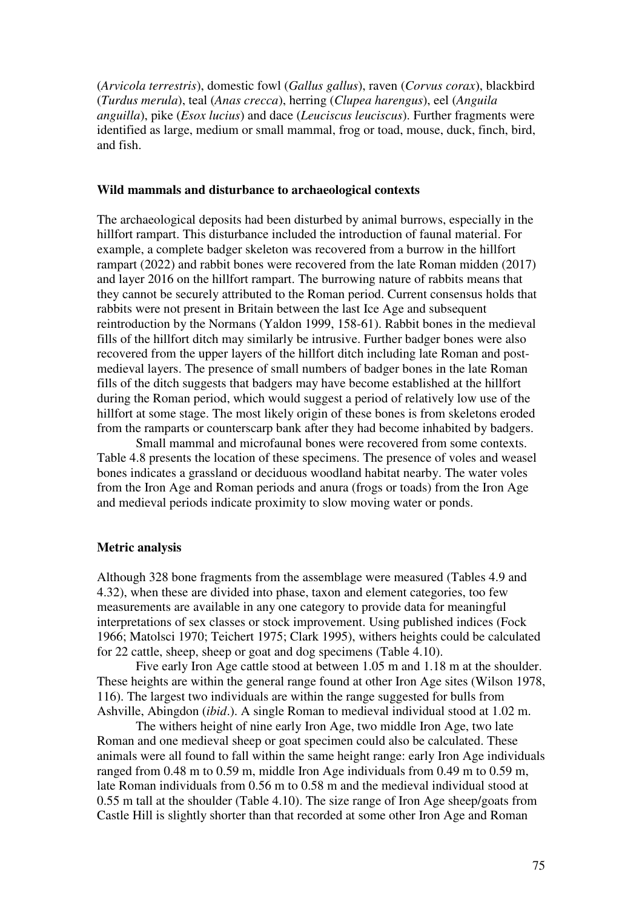(*Arvicola terrestris*), domestic fowl (*Gallus gallus*), raven (*Corvus corax*), blackbird (*Turdus merula*), teal (*Anas crecca*), herring (*Clupea harengus*), eel (*Anguila anguilla*), pike (*Esox lucius*) and dace (*Leuciscus leuciscus*). Further fragments were identified as large, medium or small mammal, frog or toad, mouse, duck, finch, bird, and fish.

#### **Wild mammals and disturbance to archaeological contexts**

The archaeological deposits had been disturbed by animal burrows, especially in the hillfort rampart. This disturbance included the introduction of faunal material. For example, a complete badger skeleton was recovered from a burrow in the hillfort rampart (2022) and rabbit bones were recovered from the late Roman midden (2017) and layer 2016 on the hillfort rampart. The burrowing nature of rabbits means that they cannot be securely attributed to the Roman period. Current consensus holds that rabbits were not present in Britain between the last Ice Age and subsequent reintroduction by the Normans (Yaldon 1999, 158-61). Rabbit bones in the medieval fills of the hillfort ditch may similarly be intrusive. Further badger bones were also recovered from the upper layers of the hillfort ditch including late Roman and postmedieval layers. The presence of small numbers of badger bones in the late Roman fills of the ditch suggests that badgers may have become established at the hillfort during the Roman period, which would suggest a period of relatively low use of the hillfort at some stage. The most likely origin of these bones is from skeletons eroded from the ramparts or counterscarp bank after they had become inhabited by badgers.

 Small mammal and microfaunal bones were recovered from some contexts. Table 4.8 presents the location of these specimens. The presence of voles and weasel bones indicates a grassland or deciduous woodland habitat nearby. The water voles from the Iron Age and Roman periods and anura (frogs or toads) from the Iron Age and medieval periods indicate proximity to slow moving water or ponds.

### **Metric analysis**

Although 328 bone fragments from the assemblage were measured (Tables 4.9 and 4.32), when these are divided into phase, taxon and element categories, too few measurements are available in any one category to provide data for meaningful interpretations of sex classes or stock improvement. Using published indices (Fock 1966; Matolsci 1970; Teichert 1975; Clark 1995), withers heights could be calculated for 22 cattle, sheep, sheep or goat and dog specimens (Table 4.10).

 Five early Iron Age cattle stood at between 1.05 m and 1.18 m at the shoulder. These heights are within the general range found at other Iron Age sites (Wilson 1978, 116). The largest two individuals are within the range suggested for bulls from Ashville, Abingdon (*ibid*.). A single Roman to medieval individual stood at 1.02 m.

 The withers height of nine early Iron Age, two middle Iron Age, two late Roman and one medieval sheep or goat specimen could also be calculated. These animals were all found to fall within the same height range: early Iron Age individuals ranged from 0.48 m to 0.59 m, middle Iron Age individuals from 0.49 m to 0.59 m, late Roman individuals from 0.56 m to 0.58 m and the medieval individual stood at 0.55 m tall at the shoulder (Table 4.10). The size range of Iron Age sheep/goats from Castle Hill is slightly shorter than that recorded at some other Iron Age and Roman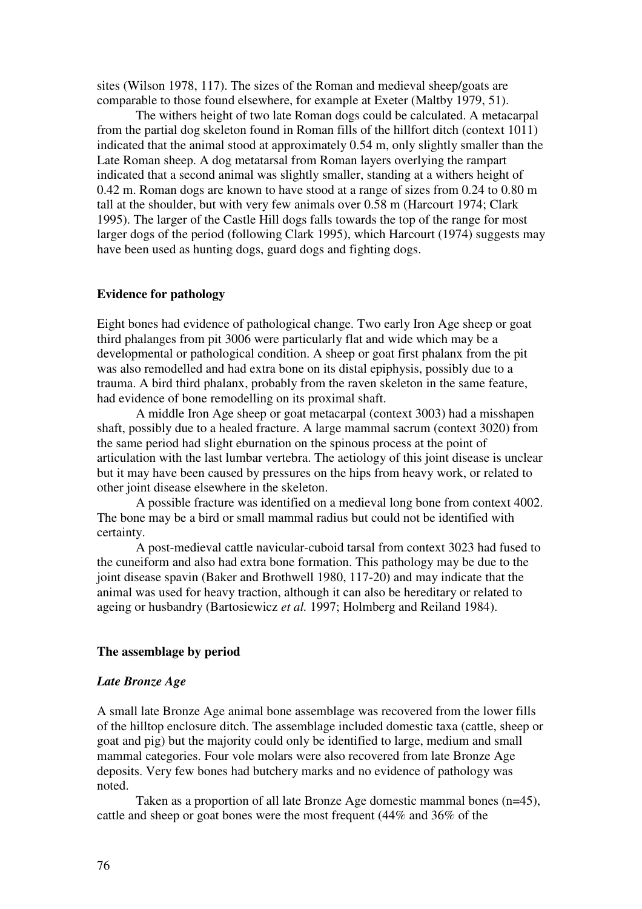sites (Wilson 1978, 117). The sizes of the Roman and medieval sheep/goats are comparable to those found elsewhere, for example at Exeter (Maltby 1979, 51).

 The withers height of two late Roman dogs could be calculated. A metacarpal from the partial dog skeleton found in Roman fills of the hillfort ditch (context 1011) indicated that the animal stood at approximately 0.54 m, only slightly smaller than the Late Roman sheep. A dog metatarsal from Roman layers overlying the rampart indicated that a second animal was slightly smaller, standing at a withers height of 0.42 m. Roman dogs are known to have stood at a range of sizes from 0.24 to 0.80 m tall at the shoulder, but with very few animals over 0.58 m (Harcourt 1974; Clark 1995). The larger of the Castle Hill dogs falls towards the top of the range for most larger dogs of the period (following Clark 1995), which Harcourt (1974) suggests may have been used as hunting dogs, guard dogs and fighting dogs.

## **Evidence for pathology**

Eight bones had evidence of pathological change. Two early Iron Age sheep or goat third phalanges from pit 3006 were particularly flat and wide which may be a developmental or pathological condition. A sheep or goat first phalanx from the pit was also remodelled and had extra bone on its distal epiphysis, possibly due to a trauma. A bird third phalanx, probably from the raven skeleton in the same feature, had evidence of bone remodelling on its proximal shaft.

 A middle Iron Age sheep or goat metacarpal (context 3003) had a misshapen shaft, possibly due to a healed fracture. A large mammal sacrum (context 3020) from the same period had slight eburnation on the spinous process at the point of articulation with the last lumbar vertebra. The aetiology of this joint disease is unclear but it may have been caused by pressures on the hips from heavy work, or related to other joint disease elsewhere in the skeleton.

 A possible fracture was identified on a medieval long bone from context 4002. The bone may be a bird or small mammal radius but could not be identified with certainty.

 A post-medieval cattle navicular-cuboid tarsal from context 3023 had fused to the cuneiform and also had extra bone formation. This pathology may be due to the joint disease spavin (Baker and Brothwell 1980, 117-20) and may indicate that the animal was used for heavy traction, although it can also be hereditary or related to ageing or husbandry (Bartosiewicz *et al.* 1997; Holmberg and Reiland 1984).

## **The assemblage by period**

#### *Late Bronze Age*

A small late Bronze Age animal bone assemblage was recovered from the lower fills of the hilltop enclosure ditch. The assemblage included domestic taxa (cattle, sheep or goat and pig) but the majority could only be identified to large, medium and small mammal categories. Four vole molars were also recovered from late Bronze Age deposits. Very few bones had butchery marks and no evidence of pathology was noted.

 Taken as a proportion of all late Bronze Age domestic mammal bones (n=45), cattle and sheep or goat bones were the most frequent (44% and 36% of the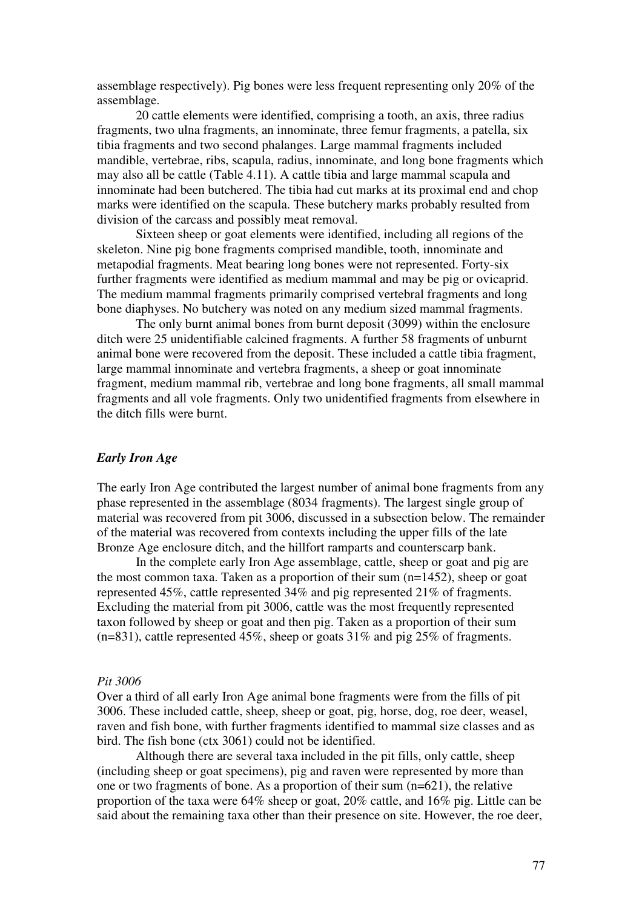assemblage respectively). Pig bones were less frequent representing only 20% of the assemblage.

 20 cattle elements were identified, comprising a tooth, an axis, three radius fragments, two ulna fragments, an innominate, three femur fragments, a patella, six tibia fragments and two second phalanges. Large mammal fragments included mandible, vertebrae, ribs, scapula, radius, innominate, and long bone fragments which may also all be cattle (Table 4.11). A cattle tibia and large mammal scapula and innominate had been butchered. The tibia had cut marks at its proximal end and chop marks were identified on the scapula. These butchery marks probably resulted from division of the carcass and possibly meat removal.

 Sixteen sheep or goat elements were identified, including all regions of the skeleton. Nine pig bone fragments comprised mandible, tooth, innominate and metapodial fragments. Meat bearing long bones were not represented. Forty-six further fragments were identified as medium mammal and may be pig or ovicaprid. The medium mammal fragments primarily comprised vertebral fragments and long bone diaphyses. No butchery was noted on any medium sized mammal fragments.

 The only burnt animal bones from burnt deposit (3099) within the enclosure ditch were 25 unidentifiable calcined fragments. A further 58 fragments of unburnt animal bone were recovered from the deposit. These included a cattle tibia fragment, large mammal innominate and vertebra fragments, a sheep or goat innominate fragment, medium mammal rib, vertebrae and long bone fragments, all small mammal fragments and all vole fragments. Only two unidentified fragments from elsewhere in the ditch fills were burnt.

# *Early Iron Age*

The early Iron Age contributed the largest number of animal bone fragments from any phase represented in the assemblage (8034 fragments). The largest single group of material was recovered from pit 3006, discussed in a subsection below. The remainder of the material was recovered from contexts including the upper fills of the late Bronze Age enclosure ditch, and the hillfort ramparts and counterscarp bank.

 In the complete early Iron Age assemblage, cattle, sheep or goat and pig are the most common taxa. Taken as a proportion of their sum (n=1452), sheep or goat represented 45%, cattle represented 34% and pig represented 21% of fragments. Excluding the material from pit 3006, cattle was the most frequently represented taxon followed by sheep or goat and then pig. Taken as a proportion of their sum (n=831), cattle represented 45%, sheep or goats 31% and pig 25% of fragments.

#### *Pit 3006*

Over a third of all early Iron Age animal bone fragments were from the fills of pit 3006. These included cattle, sheep, sheep or goat, pig, horse, dog, roe deer, weasel, raven and fish bone, with further fragments identified to mammal size classes and as bird. The fish bone (ctx 3061) could not be identified.

 Although there are several taxa included in the pit fills, only cattle, sheep (including sheep or goat specimens), pig and raven were represented by more than one or two fragments of bone. As a proportion of their sum (n=621), the relative proportion of the taxa were 64% sheep or goat, 20% cattle, and 16% pig. Little can be said about the remaining taxa other than their presence on site. However, the roe deer,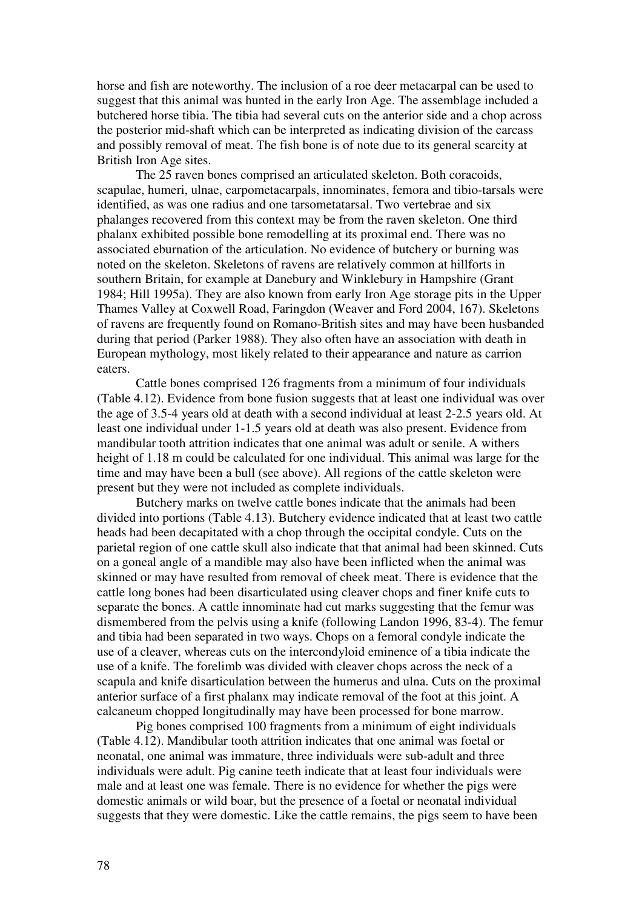horse and fish are noteworthy. The inclusion of a roe deer metacarpal can be used to suggest that this animal was hunted in the early Iron Age. The assemblage included a butchered horse tibia. The tibia had several cuts on the anterior side and a chop across the posterior mid-shaft which can be interpreted as indicating division of the carcass and possibly removal of meat. The fish bone is of note due to its general scarcity at British Iron Age sites.

 The 25 raven bones comprised an articulated skeleton. Both coracoids, scapulae, humeri, ulnae, carpometacarpals, innominates, femora and tibio-tarsals were identified, as was one radius and one tarsometatarsal. Two vertebrae and six phalanges recovered from this context may be from the raven skeleton. One third phalanx exhibited possible bone remodelling at its proximal end. There was no associated eburnation of the articulation. No evidence of butchery or burning was noted on the skeleton. Skeletons of ravens are relatively common at hillforts in southern Britain, for example at Danebury and Winklebury in Hampshire (Grant 1984; Hill 1995a). They are also known from early Iron Age storage pits in the Upper Thames Valley at Coxwell Road, Faringdon (Weaver and Ford 2004, 167). Skeletons of ravens are frequently found on Romano-British sites and may have been husbanded during that period (Parker 1988). They also often have an association with death in European mythology, most likely related to their appearance and nature as carrion eaters.

 Cattle bones comprised 126 fragments from a minimum of four individuals (Table 4.12). Evidence from bone fusion suggests that at least one individual was over the age of 3.5-4 years old at death with a second individual at least 2-2.5 years old. At least one individual under 1-1.5 years old at death was also present. Evidence from mandibular tooth attrition indicates that one animal was adult or senile. A withers height of 1.18 m could be calculated for one individual. This animal was large for the time and may have been a bull (see above). All regions of the cattle skeleton were present but they were not included as complete individuals.

Butchery marks on twelve cattle bones indicate that the animals had been divided into portions (Table 4.13). Butchery evidence indicated that at least two cattle heads had been decapitated with a chop through the occipital condyle. Cuts on the parietal region of one cattle skull also indicate that that animal had been skinned. Cuts on a goneal angle of a mandible may also have been inflicted when the animal was skinned or may have resulted from removal of cheek meat. There is evidence that the cattle long bones had been disarticulated using cleaver chops and finer knife cuts to separate the bones. A cattle innominate had cut marks suggesting that the femur was dismembered from the pelvis using a knife (following Landon 1996, 83-4). The femur and tibia had been separated in two ways. Chops on a femoral condyle indicate the use of a cleaver, whereas cuts on the intercondyloid eminence of a tibia indicate the use of a knife. The forelimb was divided with cleaver chops across the neck of a scapula and knife disarticulation between the humerus and ulna. Cuts on the proximal anterior surface of a first phalanx may indicate removal of the foot at this joint. A calcaneum chopped longitudinally may have been processed for bone marrow.

 Pig bones comprised 100 fragments from a minimum of eight individuals (Table 4.12). Mandibular tooth attrition indicates that one animal was foetal or neonatal, one animal was immature, three individuals were sub-adult and three individuals were adult. Pig canine teeth indicate that at least four individuals were male and at least one was female. There is no evidence for whether the pigs were domestic animals or wild boar, but the presence of a foetal or neonatal individual suggests that they were domestic. Like the cattle remains, the pigs seem to have been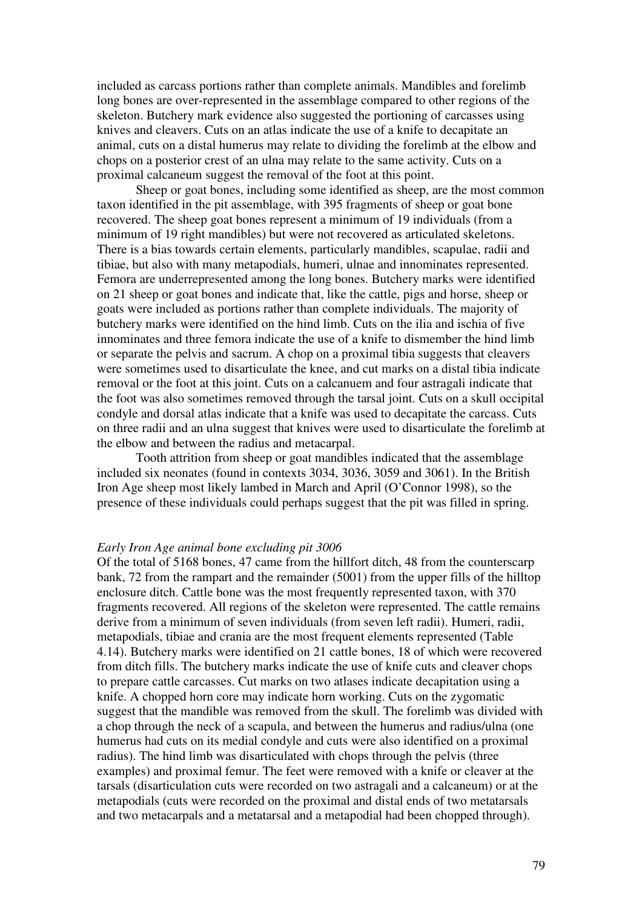included as carcass portions rather than complete animals. Mandibles and forelimb long bones are over-represented in the assemblage compared to other regions of the skeleton. Butchery mark evidence also suggested the portioning of carcasses using knives and cleavers. Cuts on an atlas indicate the use of a knife to decapitate an animal, cuts on a distal humerus may relate to dividing the forelimb at the elbow and chops on a posterior crest of an ulna may relate to the same activity. Cuts on a proximal calcaneum suggest the removal of the foot at this point.

 Sheep or goat bones, including some identified as sheep, are the most common taxon identified in the pit assemblage, with 395 fragments of sheep or goat bone recovered. The sheep goat bones represent a minimum of 19 individuals (from a minimum of 19 right mandibles) but were not recovered as articulated skeletons. There is a bias towards certain elements, particularly mandibles, scapulae, radii and tibiae, but also with many metapodials, humeri, ulnae and innominates represented. Femora are underrepresented among the long bones. Butchery marks were identified on 21 sheep or goat bones and indicate that, like the cattle, pigs and horse, sheep or goats were included as portions rather than complete individuals. The majority of butchery marks were identified on the hind limb. Cuts on the ilia and ischia of five innominates and three femora indicate the use of a knife to dismember the hind limb or separate the pelvis and sacrum. A chop on a proximal tibia suggests that cleavers were sometimes used to disarticulate the knee, and cut marks on a distal tibia indicate removal or the foot at this joint. Cuts on a calcanuem and four astragali indicate that the foot was also sometimes removed through the tarsal joint. Cuts on a skull occipital condyle and dorsal atlas indicate that a knife was used to decapitate the carcass. Cuts on three radii and an ulna suggest that knives were used to disarticulate the forelimb at the elbow and between the radius and metacarpal.

 Tooth attrition from sheep or goat mandibles indicated that the assemblage included six neonates (found in contexts 3034, 3036, 3059 and 3061). In the British Iron Age sheep most likely lambed in March and April (O'Connor 1998), so the presence of these individuals could perhaps suggest that the pit was filled in spring.

#### *Early Iron Age animal bone excluding pit 3006*

Of the total of 5168 bones, 47 came from the hillfort ditch, 48 from the counterscarp bank, 72 from the rampart and the remainder (5001) from the upper fills of the hilltop enclosure ditch. Cattle bone was the most frequently represented taxon, with 370 fragments recovered. All regions of the skeleton were represented. The cattle remains derive from a minimum of seven individuals (from seven left radii). Humeri, radii, metapodials, tibiae and crania are the most frequent elements represented (Table 4.14). Butchery marks were identified on 21 cattle bones, 18 of which were recovered from ditch fills. The butchery marks indicate the use of knife cuts and cleaver chops to prepare cattle carcasses. Cut marks on two atlases indicate decapitation using a knife. A chopped horn core may indicate horn working. Cuts on the zygomatic suggest that the mandible was removed from the skull. The forelimb was divided with a chop through the neck of a scapula, and between the humerus and radius/ulna (one humerus had cuts on its medial condyle and cuts were also identified on a proximal radius). The hind limb was disarticulated with chops through the pelvis (three examples) and proximal femur. The feet were removed with a knife or cleaver at the tarsals (disarticulation cuts were recorded on two astragali and a calcaneum) or at the metapodials (cuts were recorded on the proximal and distal ends of two metatarsals and two metacarpals and a metatarsal and a metapodial had been chopped through).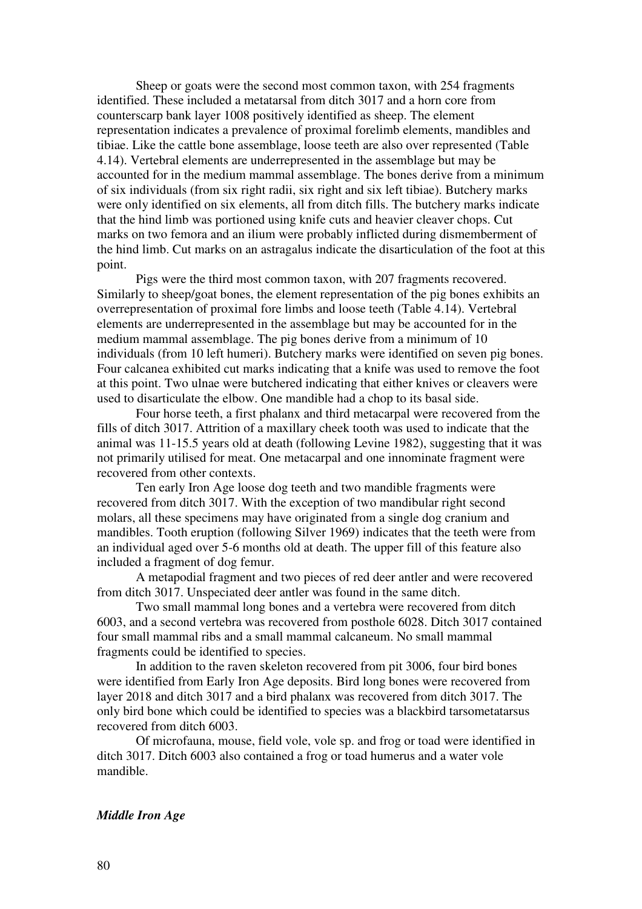Sheep or goats were the second most common taxon, with 254 fragments identified. These included a metatarsal from ditch 3017 and a horn core from counterscarp bank layer 1008 positively identified as sheep. The element representation indicates a prevalence of proximal forelimb elements, mandibles and tibiae. Like the cattle bone assemblage, loose teeth are also over represented (Table 4.14). Vertebral elements are underrepresented in the assemblage but may be accounted for in the medium mammal assemblage. The bones derive from a minimum of six individuals (from six right radii, six right and six left tibiae). Butchery marks were only identified on six elements, all from ditch fills. The butchery marks indicate that the hind limb was portioned using knife cuts and heavier cleaver chops. Cut marks on two femora and an ilium were probably inflicted during dismemberment of the hind limb. Cut marks on an astragalus indicate the disarticulation of the foot at this point.

Pigs were the third most common taxon, with 207 fragments recovered. Similarly to sheep/goat bones, the element representation of the pig bones exhibits an overrepresentation of proximal fore limbs and loose teeth (Table 4.14). Vertebral elements are underrepresented in the assemblage but may be accounted for in the medium mammal assemblage. The pig bones derive from a minimum of 10 individuals (from 10 left humeri). Butchery marks were identified on seven pig bones. Four calcanea exhibited cut marks indicating that a knife was used to remove the foot at this point. Two ulnae were butchered indicating that either knives or cleavers were used to disarticulate the elbow. One mandible had a chop to its basal side.

 Four horse teeth, a first phalanx and third metacarpal were recovered from the fills of ditch 3017. Attrition of a maxillary cheek tooth was used to indicate that the animal was 11-15.5 years old at death (following Levine 1982), suggesting that it was not primarily utilised for meat. One metacarpal and one innominate fragment were recovered from other contexts.

Ten early Iron Age loose dog teeth and two mandible fragments were recovered from ditch 3017. With the exception of two mandibular right second molars, all these specimens may have originated from a single dog cranium and mandibles. Tooth eruption (following Silver 1969) indicates that the teeth were from an individual aged over 5-6 months old at death. The upper fill of this feature also included a fragment of dog femur.

A metapodial fragment and two pieces of red deer antler and were recovered from ditch 3017. Unspeciated deer antler was found in the same ditch.

Two small mammal long bones and a vertebra were recovered from ditch 6003, and a second vertebra was recovered from posthole 6028. Ditch 3017 contained four small mammal ribs and a small mammal calcaneum. No small mammal fragments could be identified to species.

 In addition to the raven skeleton recovered from pit 3006, four bird bones were identified from Early Iron Age deposits. Bird long bones were recovered from layer 2018 and ditch 3017 and a bird phalanx was recovered from ditch 3017. The only bird bone which could be identified to species was a blackbird tarsometatarsus recovered from ditch 6003.

 Of microfauna, mouse, field vole, vole sp. and frog or toad were identified in ditch 3017. Ditch 6003 also contained a frog or toad humerus and a water vole mandible.

### *Middle Iron Age*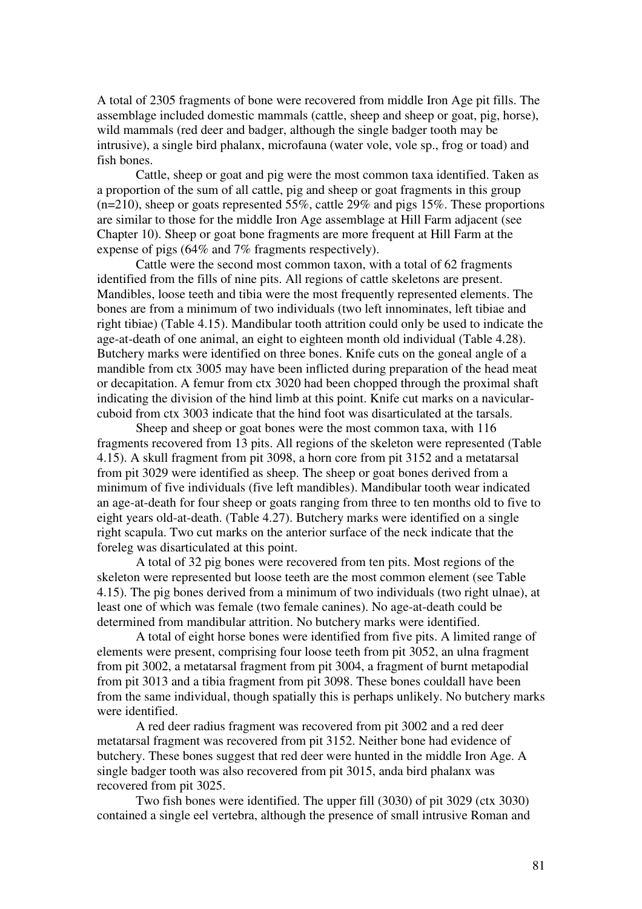A total of 2305 fragments of bone were recovered from middle Iron Age pit fills. The assemblage included domestic mammals (cattle, sheep and sheep or goat, pig, horse), wild mammals (red deer and badger, although the single badger tooth may be intrusive), a single bird phalanx, microfauna (water vole, vole sp., frog or toad) and fish bones.

 Cattle, sheep or goat and pig were the most common taxa identified. Taken as a proportion of the sum of all cattle, pig and sheep or goat fragments in this group (n=210), sheep or goats represented 55%, cattle 29% and pigs 15%. These proportions are similar to those for the middle Iron Age assemblage at Hill Farm adjacent (see Chapter 10). Sheep or goat bone fragments are more frequent at Hill Farm at the expense of pigs (64% and 7% fragments respectively).

 Cattle were the second most common taxon, with a total of 62 fragments identified from the fills of nine pits. All regions of cattle skeletons are present. Mandibles, loose teeth and tibia were the most frequently represented elements. The bones are from a minimum of two individuals (two left innominates, left tibiae and right tibiae) (Table 4.15). Mandibular tooth attrition could only be used to indicate the age-at-death of one animal, an eight to eighteen month old individual (Table 4.28). Butchery marks were identified on three bones. Knife cuts on the goneal angle of a mandible from ctx 3005 may have been inflicted during preparation of the head meat or decapitation. A femur from ctx 3020 had been chopped through the proximal shaft indicating the division of the hind limb at this point. Knife cut marks on a navicularcuboid from ctx 3003 indicate that the hind foot was disarticulated at the tarsals.

 Sheep and sheep or goat bones were the most common taxa, with 116 fragments recovered from 13 pits. All regions of the skeleton were represented (Table 4.15). A skull fragment from pit 3098, a horn core from pit 3152 and a metatarsal from pit 3029 were identified as sheep. The sheep or goat bones derived from a minimum of five individuals (five left mandibles). Mandibular tooth wear indicated an age-at-death for four sheep or goats ranging from three to ten months old to five to eight years old-at-death. (Table 4.27). Butchery marks were identified on a single right scapula. Two cut marks on the anterior surface of the neck indicate that the foreleg was disarticulated at this point.

 A total of 32 pig bones were recovered from ten pits. Most regions of the skeleton were represented but loose teeth are the most common element (see Table 4.15). The pig bones derived from a minimum of two individuals (two right ulnae), at least one of which was female (two female canines). No age-at-death could be determined from mandibular attrition. No butchery marks were identified.

 A total of eight horse bones were identified from five pits. A limited range of elements were present, comprising four loose teeth from pit 3052, an ulna fragment from pit 3002, a metatarsal fragment from pit 3004, a fragment of burnt metapodial from pit 3013 and a tibia fragment from pit 3098. These bones couldall have been from the same individual, though spatially this is perhaps unlikely. No butchery marks were identified.

 A red deer radius fragment was recovered from pit 3002 and a red deer metatarsal fragment was recovered from pit 3152. Neither bone had evidence of butchery. These bones suggest that red deer were hunted in the middle Iron Age. A single badger tooth was also recovered from pit 3015, anda bird phalanx was recovered from pit 3025.

Two fish bones were identified. The upper fill (3030) of pit 3029 (ctx 3030) contained a single eel vertebra, although the presence of small intrusive Roman and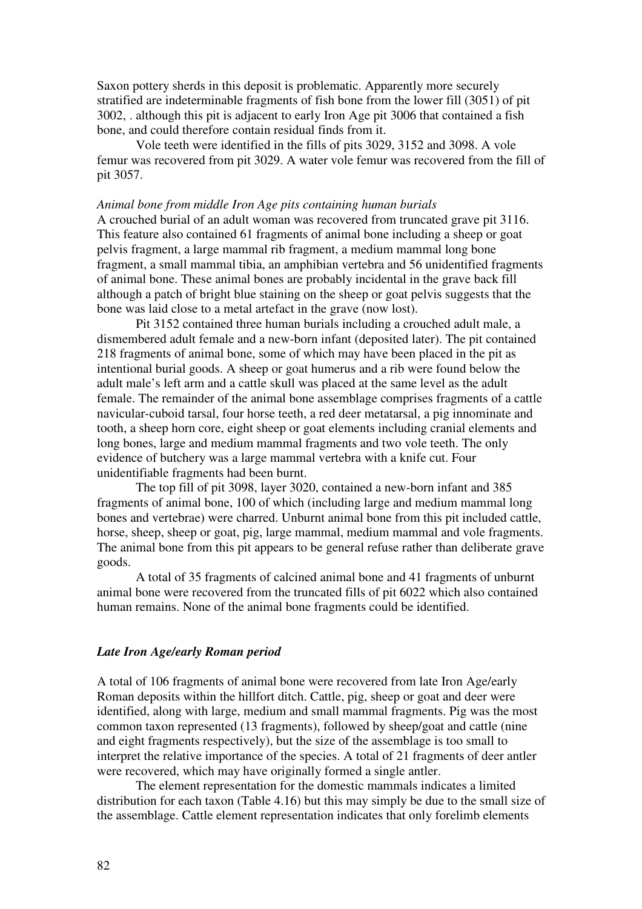Saxon pottery sherds in this deposit is problematic. Apparently more securely stratified are indeterminable fragments of fish bone from the lower fill (3051) of pit 3002, . although this pit is adjacent to early Iron Age pit 3006 that contained a fish bone, and could therefore contain residual finds from it.

 Vole teeth were identified in the fills of pits 3029, 3152 and 3098. A vole femur was recovered from pit 3029. A water vole femur was recovered from the fill of pit 3057.

#### *Animal bone from middle Iron Age pits containing human burials*

A crouched burial of an adult woman was recovered from truncated grave pit 3116. This feature also contained 61 fragments of animal bone including a sheep or goat pelvis fragment, a large mammal rib fragment, a medium mammal long bone fragment, a small mammal tibia, an amphibian vertebra and 56 unidentified fragments of animal bone. These animal bones are probably incidental in the grave back fill although a patch of bright blue staining on the sheep or goat pelvis suggests that the bone was laid close to a metal artefact in the grave (now lost).

 Pit 3152 contained three human burials including a crouched adult male, a dismembered adult female and a new-born infant (deposited later). The pit contained 218 fragments of animal bone, some of which may have been placed in the pit as intentional burial goods. A sheep or goat humerus and a rib were found below the adult male's left arm and a cattle skull was placed at the same level as the adult female. The remainder of the animal bone assemblage comprises fragments of a cattle navicular-cuboid tarsal, four horse teeth, a red deer metatarsal, a pig innominate and tooth, a sheep horn core, eight sheep or goat elements including cranial elements and long bones, large and medium mammal fragments and two vole teeth. The only evidence of butchery was a large mammal vertebra with a knife cut. Four unidentifiable fragments had been burnt.

 The top fill of pit 3098, layer 3020, contained a new-born infant and 385 fragments of animal bone, 100 of which (including large and medium mammal long bones and vertebrae) were charred. Unburnt animal bone from this pit included cattle, horse, sheep, sheep or goat, pig, large mammal, medium mammal and vole fragments. The animal bone from this pit appears to be general refuse rather than deliberate grave goods.

 A total of 35 fragments of calcined animal bone and 41 fragments of unburnt animal bone were recovered from the truncated fills of pit 6022 which also contained human remains. None of the animal bone fragments could be identified.

## *Late Iron Age/early Roman period*

A total of 106 fragments of animal bone were recovered from late Iron Age/early Roman deposits within the hillfort ditch. Cattle, pig, sheep or goat and deer were identified, along with large, medium and small mammal fragments. Pig was the most common taxon represented (13 fragments), followed by sheep/goat and cattle (nine and eight fragments respectively), but the size of the assemblage is too small to interpret the relative importance of the species. A total of 21 fragments of deer antler were recovered, which may have originally formed a single antler.

 The element representation for the domestic mammals indicates a limited distribution for each taxon (Table 4.16) but this may simply be due to the small size of the assemblage. Cattle element representation indicates that only forelimb elements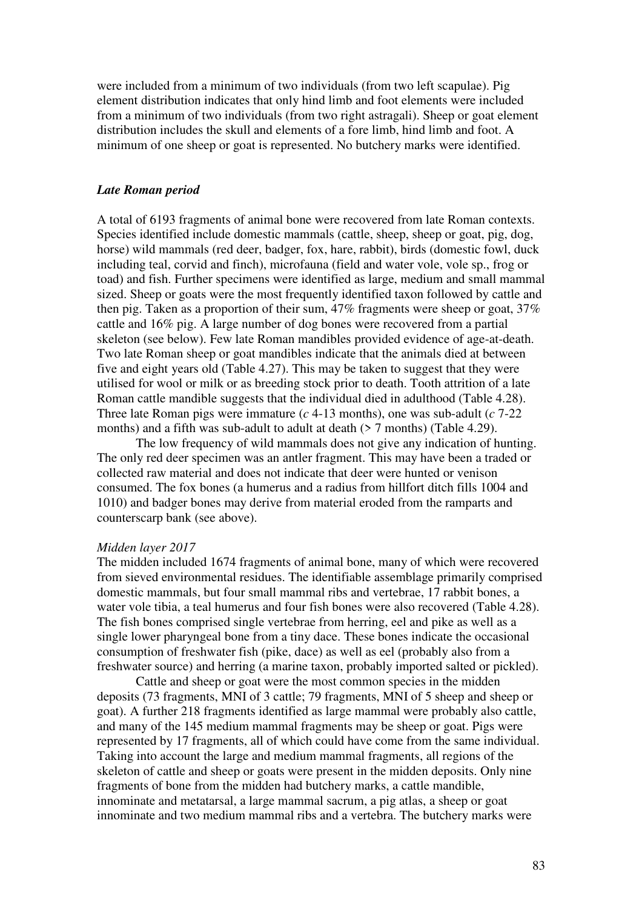were included from a minimum of two individuals (from two left scapulae). Pig element distribution indicates that only hind limb and foot elements were included from a minimum of two individuals (from two right astragali). Sheep or goat element distribution includes the skull and elements of a fore limb, hind limb and foot. A minimum of one sheep or goat is represented. No butchery marks were identified.

### *Late Roman period*

A total of 6193 fragments of animal bone were recovered from late Roman contexts. Species identified include domestic mammals (cattle, sheep, sheep or goat, pig, dog, horse) wild mammals (red deer, badger, fox, hare, rabbit), birds (domestic fowl, duck including teal, corvid and finch), microfauna (field and water vole, vole sp., frog or toad) and fish. Further specimens were identified as large, medium and small mammal sized. Sheep or goats were the most frequently identified taxon followed by cattle and then pig. Taken as a proportion of their sum, 47% fragments were sheep or goat, 37% cattle and 16% pig. A large number of dog bones were recovered from a partial skeleton (see below). Few late Roman mandibles provided evidence of age-at-death. Two late Roman sheep or goat mandibles indicate that the animals died at between five and eight years old (Table 4.27). This may be taken to suggest that they were utilised for wool or milk or as breeding stock prior to death. Tooth attrition of a late Roman cattle mandible suggests that the individual died in adulthood (Table 4.28). Three late Roman pigs were immature (*c* 4-13 months), one was sub-adult (*c* 7-22 months) and a fifth was sub-adult to adult at death  $(27 \text{ months})$  (Table 4.29).

 The low frequency of wild mammals does not give any indication of hunting. The only red deer specimen was an antler fragment. This may have been a traded or collected raw material and does not indicate that deer were hunted or venison consumed. The fox bones (a humerus and a radius from hillfort ditch fills 1004 and 1010) and badger bones may derive from material eroded from the ramparts and counterscarp bank (see above).

# *Midden layer 2017*

The midden included 1674 fragments of animal bone, many of which were recovered from sieved environmental residues. The identifiable assemblage primarily comprised domestic mammals, but four small mammal ribs and vertebrae, 17 rabbit bones, a water vole tibia, a teal humerus and four fish bones were also recovered (Table 4.28). The fish bones comprised single vertebrae from herring, eel and pike as well as a single lower pharyngeal bone from a tiny dace. These bones indicate the occasional consumption of freshwater fish (pike, dace) as well as eel (probably also from a freshwater source) and herring (a marine taxon, probably imported salted or pickled).

 Cattle and sheep or goat were the most common species in the midden deposits (73 fragments, MNI of 3 cattle; 79 fragments, MNI of 5 sheep and sheep or goat). A further 218 fragments identified as large mammal were probably also cattle, and many of the 145 medium mammal fragments may be sheep or goat. Pigs were represented by 17 fragments, all of which could have come from the same individual. Taking into account the large and medium mammal fragments, all regions of the skeleton of cattle and sheep or goats were present in the midden deposits. Only nine fragments of bone from the midden had butchery marks, a cattle mandible, innominate and metatarsal, a large mammal sacrum, a pig atlas, a sheep or goat innominate and two medium mammal ribs and a vertebra. The butchery marks were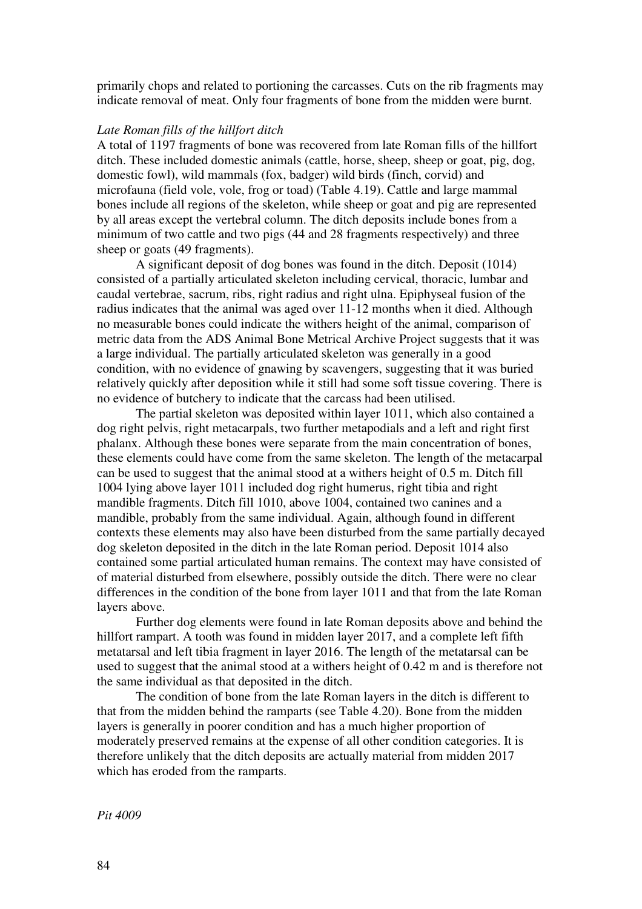primarily chops and related to portioning the carcasses. Cuts on the rib fragments may indicate removal of meat. Only four fragments of bone from the midden were burnt.

# *Late Roman fills of the hillfort ditch*

A total of 1197 fragments of bone was recovered from late Roman fills of the hillfort ditch. These included domestic animals (cattle, horse, sheep, sheep or goat, pig, dog, domestic fowl), wild mammals (fox, badger) wild birds (finch, corvid) and microfauna (field vole, vole, frog or toad) (Table 4.19). Cattle and large mammal bones include all regions of the skeleton, while sheep or goat and pig are represented by all areas except the vertebral column. The ditch deposits include bones from a minimum of two cattle and two pigs (44 and 28 fragments respectively) and three sheep or goats (49 fragments).

 A significant deposit of dog bones was found in the ditch. Deposit (1014) consisted of a partially articulated skeleton including cervical, thoracic, lumbar and caudal vertebrae, sacrum, ribs, right radius and right ulna. Epiphyseal fusion of the radius indicates that the animal was aged over 11-12 months when it died. Although no measurable bones could indicate the withers height of the animal, comparison of metric data from the ADS Animal Bone Metrical Archive Project suggests that it was a large individual. The partially articulated skeleton was generally in a good condition, with no evidence of gnawing by scavengers, suggesting that it was buried relatively quickly after deposition while it still had some soft tissue covering. There is no evidence of butchery to indicate that the carcass had been utilised.

The partial skeleton was deposited within layer 1011, which also contained a dog right pelvis, right metacarpals, two further metapodials and a left and right first phalanx. Although these bones were separate from the main concentration of bones, these elements could have come from the same skeleton. The length of the metacarpal can be used to suggest that the animal stood at a withers height of 0.5 m. Ditch fill 1004 lying above layer 1011 included dog right humerus, right tibia and right mandible fragments. Ditch fill 1010, above 1004, contained two canines and a mandible, probably from the same individual. Again, although found in different contexts these elements may also have been disturbed from the same partially decayed dog skeleton deposited in the ditch in the late Roman period. Deposit 1014 also contained some partial articulated human remains. The context may have consisted of of material disturbed from elsewhere, possibly outside the ditch. There were no clear differences in the condition of the bone from layer 1011 and that from the late Roman layers above.

 Further dog elements were found in late Roman deposits above and behind the hillfort rampart. A tooth was found in midden layer 2017, and a complete left fifth metatarsal and left tibia fragment in layer 2016. The length of the metatarsal can be used to suggest that the animal stood at a withers height of 0.42 m and is therefore not the same individual as that deposited in the ditch.

 The condition of bone from the late Roman layers in the ditch is different to that from the midden behind the ramparts (see Table 4.20). Bone from the midden layers is generally in poorer condition and has a much higher proportion of moderately preserved remains at the expense of all other condition categories. It is therefore unlikely that the ditch deposits are actually material from midden 2017 which has eroded from the ramparts.

*Pit 4009*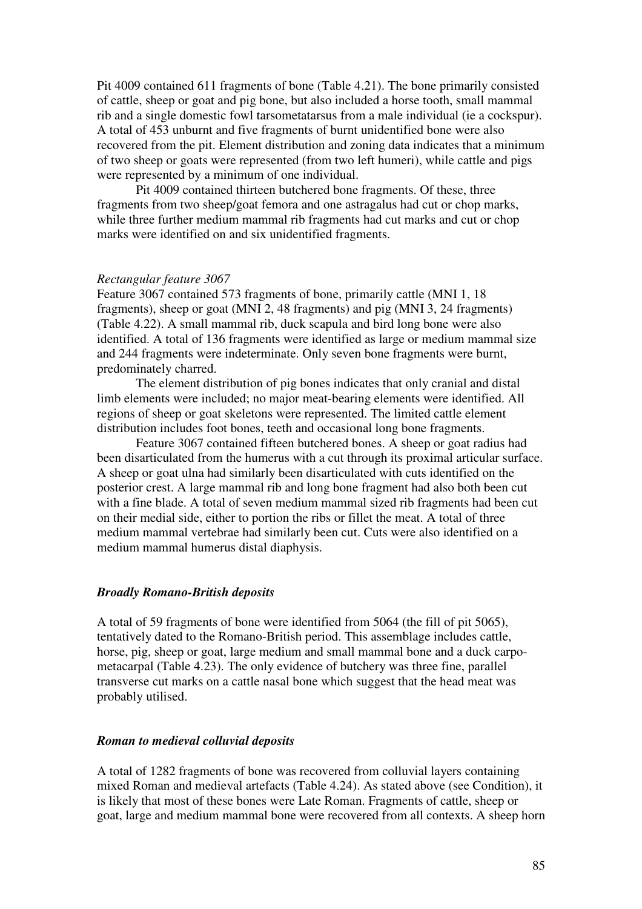Pit 4009 contained 611 fragments of bone (Table 4.21). The bone primarily consisted of cattle, sheep or goat and pig bone, but also included a horse tooth, small mammal rib and a single domestic fowl tarsometatarsus from a male individual (ie a cockspur). A total of 453 unburnt and five fragments of burnt unidentified bone were also recovered from the pit. Element distribution and zoning data indicates that a minimum of two sheep or goats were represented (from two left humeri), while cattle and pigs were represented by a minimum of one individual.

 Pit 4009 contained thirteen butchered bone fragments. Of these, three fragments from two sheep/goat femora and one astragalus had cut or chop marks, while three further medium mammal rib fragments had cut marks and cut or chop marks were identified on and six unidentified fragments.

#### *Rectangular feature 3067*

Feature 3067 contained 573 fragments of bone, primarily cattle (MNI 1, 18 fragments), sheep or goat (MNI 2, 48 fragments) and pig (MNI 3, 24 fragments) (Table 4.22). A small mammal rib, duck scapula and bird long bone were also identified. A total of 136 fragments were identified as large or medium mammal size and 244 fragments were indeterminate. Only seven bone fragments were burnt, predominately charred.

 The element distribution of pig bones indicates that only cranial and distal limb elements were included; no major meat-bearing elements were identified. All regions of sheep or goat skeletons were represented. The limited cattle element distribution includes foot bones, teeth and occasional long bone fragments.

 Feature 3067 contained fifteen butchered bones. A sheep or goat radius had been disarticulated from the humerus with a cut through its proximal articular surface. A sheep or goat ulna had similarly been disarticulated with cuts identified on the posterior crest. A large mammal rib and long bone fragment had also both been cut with a fine blade. A total of seven medium mammal sized rib fragments had been cut on their medial side, either to portion the ribs or fillet the meat. A total of three medium mammal vertebrae had similarly been cut. Cuts were also identified on a medium mammal humerus distal diaphysis.

#### *Broadly Romano-British deposits*

A total of 59 fragments of bone were identified from 5064 (the fill of pit 5065), tentatively dated to the Romano-British period. This assemblage includes cattle, horse, pig, sheep or goat, large medium and small mammal bone and a duck carpometacarpal (Table 4.23). The only evidence of butchery was three fine, parallel transverse cut marks on a cattle nasal bone which suggest that the head meat was probably utilised.

# *Roman to medieval colluvial deposits*

A total of 1282 fragments of bone was recovered from colluvial layers containing mixed Roman and medieval artefacts (Table 4.24). As stated above (see Condition), it is likely that most of these bones were Late Roman. Fragments of cattle, sheep or goat, large and medium mammal bone were recovered from all contexts. A sheep horn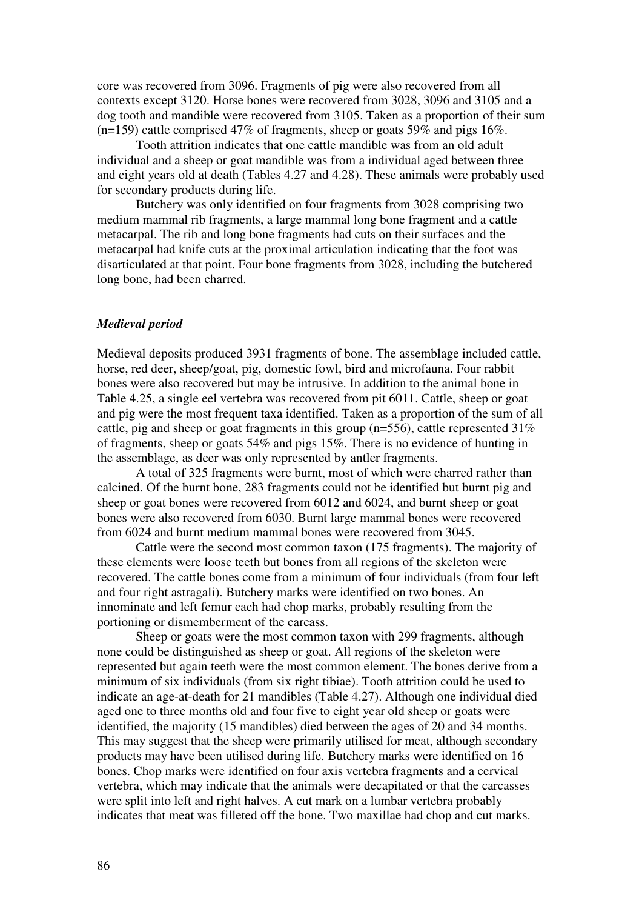core was recovered from 3096. Fragments of pig were also recovered from all contexts except 3120. Horse bones were recovered from 3028, 3096 and 3105 and a dog tooth and mandible were recovered from 3105. Taken as a proportion of their sum (n=159) cattle comprised 47% of fragments, sheep or goats 59% and pigs 16%.

 Tooth attrition indicates that one cattle mandible was from an old adult individual and a sheep or goat mandible was from a individual aged between three and eight years old at death (Tables 4.27 and 4.28). These animals were probably used for secondary products during life.

 Butchery was only identified on four fragments from 3028 comprising two medium mammal rib fragments, a large mammal long bone fragment and a cattle metacarpal. The rib and long bone fragments had cuts on their surfaces and the metacarpal had knife cuts at the proximal articulation indicating that the foot was disarticulated at that point. Four bone fragments from 3028, including the butchered long bone, had been charred.

## *Medieval period*

Medieval deposits produced 3931 fragments of bone. The assemblage included cattle, horse, red deer, sheep/goat, pig, domestic fowl, bird and microfauna. Four rabbit bones were also recovered but may be intrusive. In addition to the animal bone in Table 4.25, a single eel vertebra was recovered from pit 6011. Cattle, sheep or goat and pig were the most frequent taxa identified. Taken as a proportion of the sum of all cattle, pig and sheep or goat fragments in this group (n=556), cattle represented 31% of fragments, sheep or goats 54% and pigs 15%. There is no evidence of hunting in the assemblage, as deer was only represented by antler fragments.

 A total of 325 fragments were burnt, most of which were charred rather than calcined. Of the burnt bone, 283 fragments could not be identified but burnt pig and sheep or goat bones were recovered from 6012 and 6024, and burnt sheep or goat bones were also recovered from 6030. Burnt large mammal bones were recovered from 6024 and burnt medium mammal bones were recovered from 3045.

 Cattle were the second most common taxon (175 fragments). The majority of these elements were loose teeth but bones from all regions of the skeleton were recovered. The cattle bones come from a minimum of four individuals (from four left and four right astragali). Butchery marks were identified on two bones. An innominate and left femur each had chop marks, probably resulting from the portioning or dismemberment of the carcass.

 Sheep or goats were the most common taxon with 299 fragments, although none could be distinguished as sheep or goat. All regions of the skeleton were represented but again teeth were the most common element. The bones derive from a minimum of six individuals (from six right tibiae). Tooth attrition could be used to indicate an age-at-death for 21 mandibles (Table 4.27). Although one individual died aged one to three months old and four five to eight year old sheep or goats were identified, the majority (15 mandibles) died between the ages of 20 and 34 months. This may suggest that the sheep were primarily utilised for meat, although secondary products may have been utilised during life. Butchery marks were identified on 16 bones. Chop marks were identified on four axis vertebra fragments and a cervical vertebra, which may indicate that the animals were decapitated or that the carcasses were split into left and right halves. A cut mark on a lumbar vertebra probably indicates that meat was filleted off the bone. Two maxillae had chop and cut marks.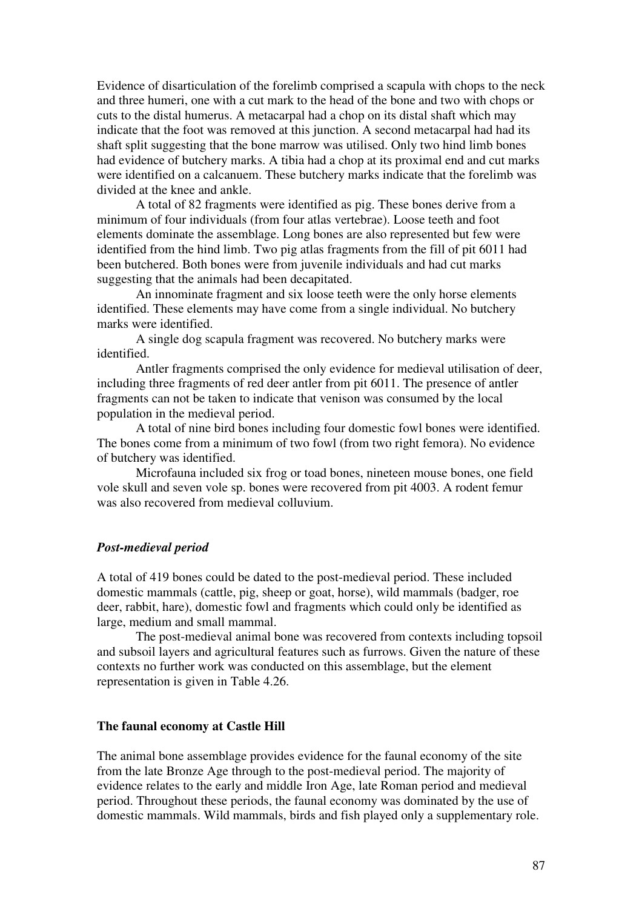Evidence of disarticulation of the forelimb comprised a scapula with chops to the neck and three humeri, one with a cut mark to the head of the bone and two with chops or cuts to the distal humerus. A metacarpal had a chop on its distal shaft which may indicate that the foot was removed at this junction. A second metacarpal had had its shaft split suggesting that the bone marrow was utilised. Only two hind limb bones had evidence of butchery marks. A tibia had a chop at its proximal end and cut marks were identified on a calcanuem. These butchery marks indicate that the forelimb was divided at the knee and ankle.

 A total of 82 fragments were identified as pig. These bones derive from a minimum of four individuals (from four atlas vertebrae). Loose teeth and foot elements dominate the assemblage. Long bones are also represented but few were identified from the hind limb. Two pig atlas fragments from the fill of pit 6011 had been butchered. Both bones were from juvenile individuals and had cut marks suggesting that the animals had been decapitated.

 An innominate fragment and six loose teeth were the only horse elements identified. These elements may have come from a single individual. No butchery marks were identified.

 A single dog scapula fragment was recovered. No butchery marks were identified.

 Antler fragments comprised the only evidence for medieval utilisation of deer, including three fragments of red deer antler from pit 6011. The presence of antler fragments can not be taken to indicate that venison was consumed by the local population in the medieval period.

 A total of nine bird bones including four domestic fowl bones were identified. The bones come from a minimum of two fowl (from two right femora). No evidence of butchery was identified.

 Microfauna included six frog or toad bones, nineteen mouse bones, one field vole skull and seven vole sp. bones were recovered from pit 4003. A rodent femur was also recovered from medieval colluvium.

### *Post-medieval period*

A total of 419 bones could be dated to the post-medieval period. These included domestic mammals (cattle, pig, sheep or goat, horse), wild mammals (badger, roe deer, rabbit, hare), domestic fowl and fragments which could only be identified as large, medium and small mammal.

 The post-medieval animal bone was recovered from contexts including topsoil and subsoil layers and agricultural features such as furrows. Given the nature of these contexts no further work was conducted on this assemblage, but the element representation is given in Table 4.26.

## **The faunal economy at Castle Hill**

The animal bone assemblage provides evidence for the faunal economy of the site from the late Bronze Age through to the post-medieval period. The majority of evidence relates to the early and middle Iron Age, late Roman period and medieval period. Throughout these periods, the faunal economy was dominated by the use of domestic mammals. Wild mammals, birds and fish played only a supplementary role.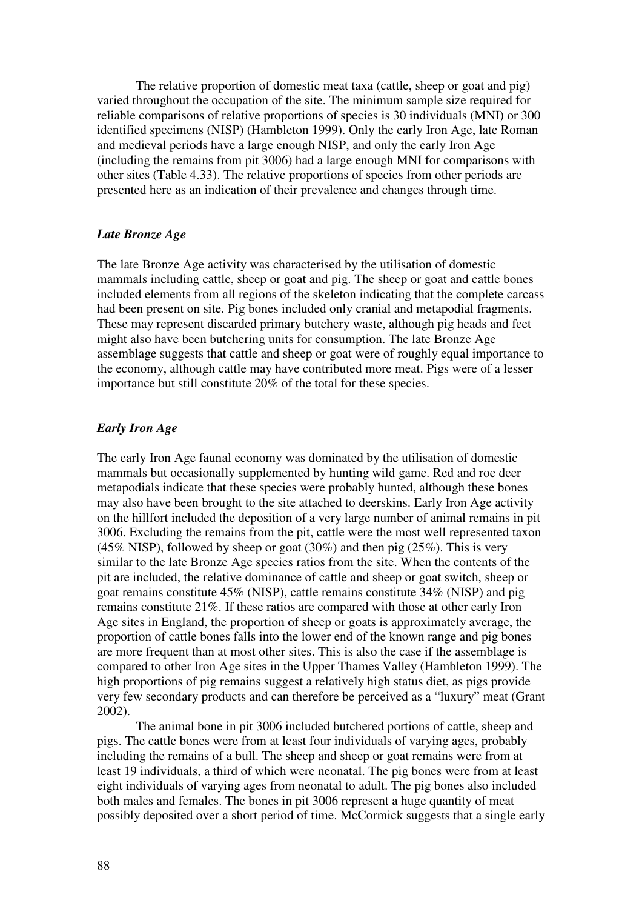The relative proportion of domestic meat taxa (cattle, sheep or goat and pig) varied throughout the occupation of the site. The minimum sample size required for reliable comparisons of relative proportions of species is 30 individuals (MNI) or 300 identified specimens (NISP) (Hambleton 1999). Only the early Iron Age, late Roman and medieval periods have a large enough NISP, and only the early Iron Age (including the remains from pit 3006) had a large enough MNI for comparisons with other sites (Table 4.33). The relative proportions of species from other periods are presented here as an indication of their prevalence and changes through time.

# *Late Bronze Age*

The late Bronze Age activity was characterised by the utilisation of domestic mammals including cattle, sheep or goat and pig. The sheep or goat and cattle bones included elements from all regions of the skeleton indicating that the complete carcass had been present on site. Pig bones included only cranial and metapodial fragments. These may represent discarded primary butchery waste, although pig heads and feet might also have been butchering units for consumption. The late Bronze Age assemblage suggests that cattle and sheep or goat were of roughly equal importance to the economy, although cattle may have contributed more meat. Pigs were of a lesser importance but still constitute 20% of the total for these species.

### *Early Iron Age*

The early Iron Age faunal economy was dominated by the utilisation of domestic mammals but occasionally supplemented by hunting wild game. Red and roe deer metapodials indicate that these species were probably hunted, although these bones may also have been brought to the site attached to deerskins. Early Iron Age activity on the hillfort included the deposition of a very large number of animal remains in pit 3006. Excluding the remains from the pit, cattle were the most well represented taxon (45% NISP), followed by sheep or goat (30%) and then pig (25%). This is very similar to the late Bronze Age species ratios from the site. When the contents of the pit are included, the relative dominance of cattle and sheep or goat switch, sheep or goat remains constitute 45% (NISP), cattle remains constitute 34% (NISP) and pig remains constitute 21%. If these ratios are compared with those at other early Iron Age sites in England, the proportion of sheep or goats is approximately average, the proportion of cattle bones falls into the lower end of the known range and pig bones are more frequent than at most other sites. This is also the case if the assemblage is compared to other Iron Age sites in the Upper Thames Valley (Hambleton 1999). The high proportions of pig remains suggest a relatively high status diet, as pigs provide very few secondary products and can therefore be perceived as a "luxury" meat (Grant 2002).

 The animal bone in pit 3006 included butchered portions of cattle, sheep and pigs. The cattle bones were from at least four individuals of varying ages, probably including the remains of a bull. The sheep and sheep or goat remains were from at least 19 individuals, a third of which were neonatal. The pig bones were from at least eight individuals of varying ages from neonatal to adult. The pig bones also included both males and females. The bones in pit 3006 represent a huge quantity of meat possibly deposited over a short period of time. McCormick suggests that a single early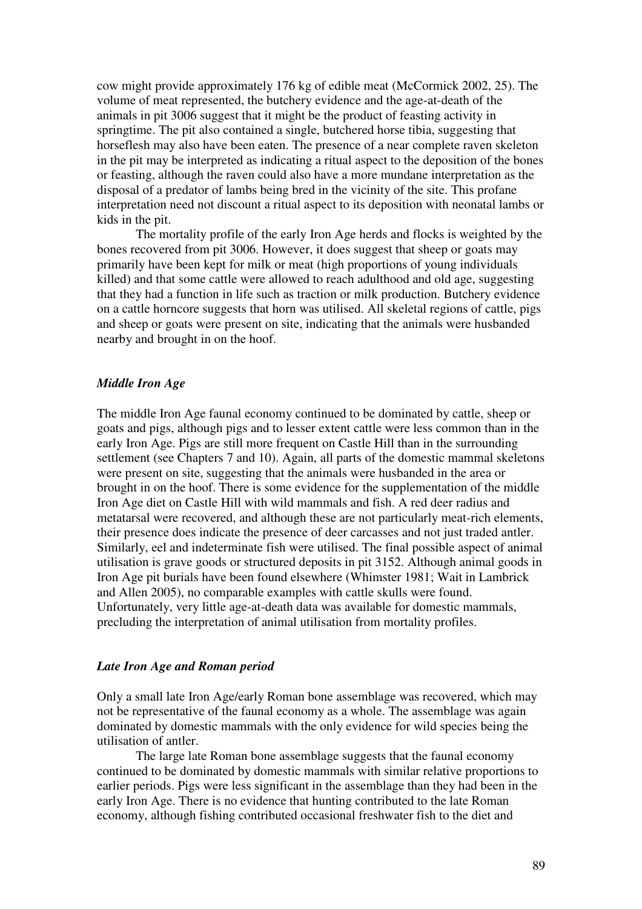cow might provide approximately 176 kg of edible meat (McCormick 2002, 25). The volume of meat represented, the butchery evidence and the age-at-death of the animals in pit 3006 suggest that it might be the product of feasting activity in springtime. The pit also contained a single, butchered horse tibia, suggesting that horseflesh may also have been eaten. The presence of a near complete raven skeleton in the pit may be interpreted as indicating a ritual aspect to the deposition of the bones or feasting, although the raven could also have a more mundane interpretation as the disposal of a predator of lambs being bred in the vicinity of the site. This profane interpretation need not discount a ritual aspect to its deposition with neonatal lambs or kids in the pit.

 The mortality profile of the early Iron Age herds and flocks is weighted by the bones recovered from pit 3006. However, it does suggest that sheep or goats may primarily have been kept for milk or meat (high proportions of young individuals killed) and that some cattle were allowed to reach adulthood and old age, suggesting that they had a function in life such as traction or milk production. Butchery evidence on a cattle horncore suggests that horn was utilised. All skeletal regions of cattle, pigs and sheep or goats were present on site, indicating that the animals were husbanded nearby and brought in on the hoof.

# *Middle Iron Age*

The middle Iron Age faunal economy continued to be dominated by cattle, sheep or goats and pigs, although pigs and to lesser extent cattle were less common than in the early Iron Age. Pigs are still more frequent on Castle Hill than in the surrounding settlement (see Chapters 7 and 10). Again, all parts of the domestic mammal skeletons were present on site, suggesting that the animals were husbanded in the area or brought in on the hoof. There is some evidence for the supplementation of the middle Iron Age diet on Castle Hill with wild mammals and fish. A red deer radius and metatarsal were recovered, and although these are not particularly meat-rich elements, their presence does indicate the presence of deer carcasses and not just traded antler. Similarly, eel and indeterminate fish were utilised. The final possible aspect of animal utilisation is grave goods or structured deposits in pit 3152. Although animal goods in Iron Age pit burials have been found elsewhere (Whimster 1981; Wait in Lambrick and Allen 2005), no comparable examples with cattle skulls were found. Unfortunately, very little age-at-death data was available for domestic mammals, precluding the interpretation of animal utilisation from mortality profiles.

### *Late Iron Age and Roman period*

Only a small late Iron Age/early Roman bone assemblage was recovered, which may not be representative of the faunal economy as a whole. The assemblage was again dominated by domestic mammals with the only evidence for wild species being the utilisation of antler.

The large late Roman bone assemblage suggests that the faunal economy continued to be dominated by domestic mammals with similar relative proportions to earlier periods. Pigs were less significant in the assemblage than they had been in the early Iron Age. There is no evidence that hunting contributed to the late Roman economy, although fishing contributed occasional freshwater fish to the diet and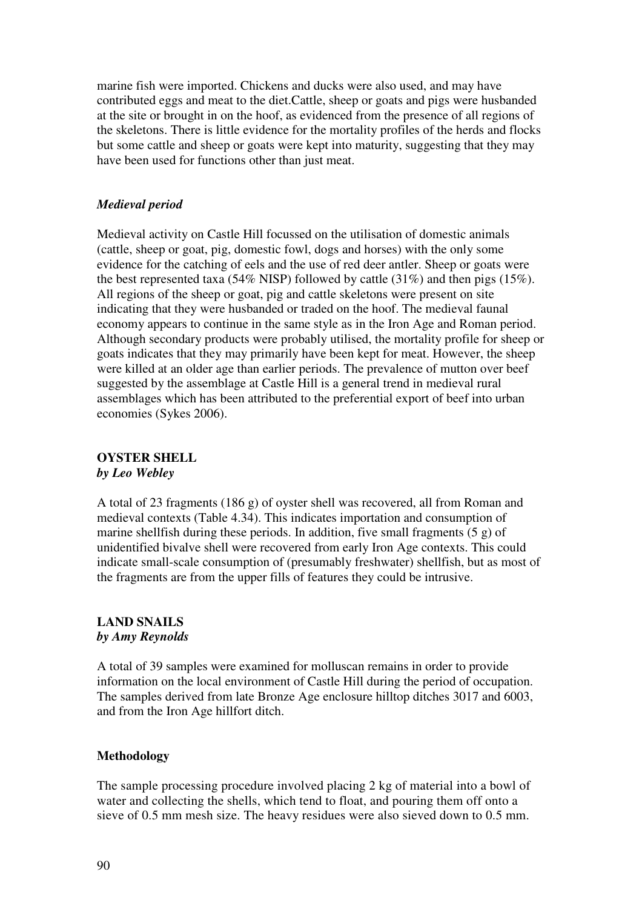marine fish were imported. Chickens and ducks were also used, and may have contributed eggs and meat to the diet.Cattle, sheep or goats and pigs were husbanded at the site or brought in on the hoof, as evidenced from the presence of all regions of the skeletons. There is little evidence for the mortality profiles of the herds and flocks but some cattle and sheep or goats were kept into maturity, suggesting that they may have been used for functions other than just meat.

# *Medieval period*

Medieval activity on Castle Hill focussed on the utilisation of domestic animals (cattle, sheep or goat, pig, domestic fowl, dogs and horses) with the only some evidence for the catching of eels and the use of red deer antler. Sheep or goats were the best represented taxa (54% NISP) followed by cattle (31%) and then pigs (15%). All regions of the sheep or goat, pig and cattle skeletons were present on site indicating that they were husbanded or traded on the hoof. The medieval faunal economy appears to continue in the same style as in the Iron Age and Roman period. Although secondary products were probably utilised, the mortality profile for sheep or goats indicates that they may primarily have been kept for meat. However, the sheep were killed at an older age than earlier periods. The prevalence of mutton over beef suggested by the assemblage at Castle Hill is a general trend in medieval rural assemblages which has been attributed to the preferential export of beef into urban economies (Sykes 2006).

# **OYSTER SHELL**  *by Leo Webley*

A total of 23 fragments (186 g) of oyster shell was recovered, all from Roman and medieval contexts (Table 4.34). This indicates importation and consumption of marine shellfish during these periods. In addition, five small fragments (5 g) of unidentified bivalve shell were recovered from early Iron Age contexts. This could indicate small-scale consumption of (presumably freshwater) shellfish, but as most of the fragments are from the upper fills of features they could be intrusive.

# **LAND SNAILS**  *by Amy Reynolds*

A total of 39 samples were examined for molluscan remains in order to provide information on the local environment of Castle Hill during the period of occupation. The samples derived from late Bronze Age enclosure hilltop ditches 3017 and 6003, and from the Iron Age hillfort ditch.

# **Methodology**

The sample processing procedure involved placing 2 kg of material into a bowl of water and collecting the shells, which tend to float, and pouring them off onto a sieve of 0.5 mm mesh size. The heavy residues were also sieved down to 0.5 mm.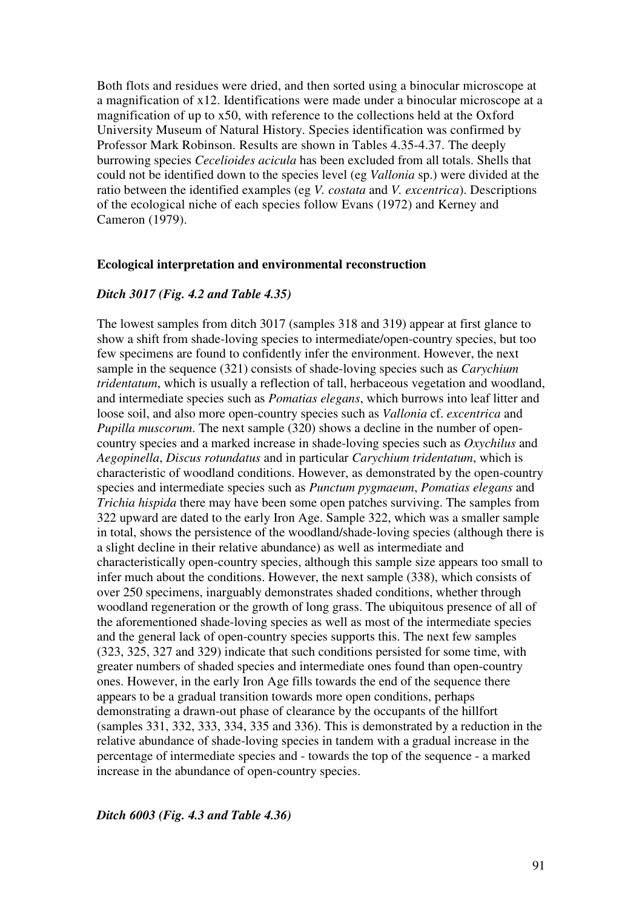Both flots and residues were dried, and then sorted using a binocular microscope at a magnification of x12. Identifications were made under a binocular microscope at a magnification of up to x50, with reference to the collections held at the Oxford University Museum of Natural History. Species identification was confirmed by Professor Mark Robinson. Results are shown in Tables 4.35-4.37. The deeply burrowing species *Cecelioides acicula* has been excluded from all totals. Shells that could not be identified down to the species level (eg *Vallonia* sp.) were divided at the ratio between the identified examples (eg *V. costata* and *V. excentrica*). Descriptions of the ecological niche of each species follow Evans (1972) and Kerney and Cameron (1979).

### **Ecological interpretation and environmental reconstruction**

### *Ditch 3017 (Fig. 4.2 and Table 4.35)*

The lowest samples from ditch 3017 (samples 318 and 319) appear at first glance to show a shift from shade-loving species to intermediate/open-country species, but too few specimens are found to confidently infer the environment. However, the next sample in the sequence (321) consists of shade-loving species such as *Carychium tridentatum*, which is usually a reflection of tall, herbaceous vegetation and woodland, and intermediate species such as *Pomatias elegans*, which burrows into leaf litter and loose soil, and also more open-country species such as *Vallonia* cf. *excentrica* and *Pupilla muscorum*. The next sample (320) shows a decline in the number of opencountry species and a marked increase in shade-loving species such as *Oxychilus* and *Aegopinella*, *Discus rotundatus* and in particular *Carychium tridentatum*, which is characteristic of woodland conditions. However, as demonstrated by the open-country species and intermediate species such as *Punctum pygmaeum*, *Pomatias elegans* and *Trichia hispida* there may have been some open patches surviving. The samples from 322 upward are dated to the early Iron Age. Sample 322, which was a smaller sample in total, shows the persistence of the woodland/shade-loving species (although there is a slight decline in their relative abundance) as well as intermediate and characteristically open-country species, although this sample size appears too small to infer much about the conditions. However, the next sample (338), which consists of over 250 specimens, inarguably demonstrates shaded conditions, whether through woodland regeneration or the growth of long grass. The ubiquitous presence of all of the aforementioned shade-loving species as well as most of the intermediate species and the general lack of open-country species supports this. The next few samples (323, 325, 327 and 329) indicate that such conditions persisted for some time, with greater numbers of shaded species and intermediate ones found than open-country ones. However, in the early Iron Age fills towards the end of the sequence there appears to be a gradual transition towards more open conditions, perhaps demonstrating a drawn-out phase of clearance by the occupants of the hillfort (samples 331, 332, 333, 334, 335 and 336). This is demonstrated by a reduction in the relative abundance of shade-loving species in tandem with a gradual increase in the percentage of intermediate species and - towards the top of the sequence - a marked increase in the abundance of open-country species.

## *Ditch 6003 (Fig. 4.3 and Table 4.36)*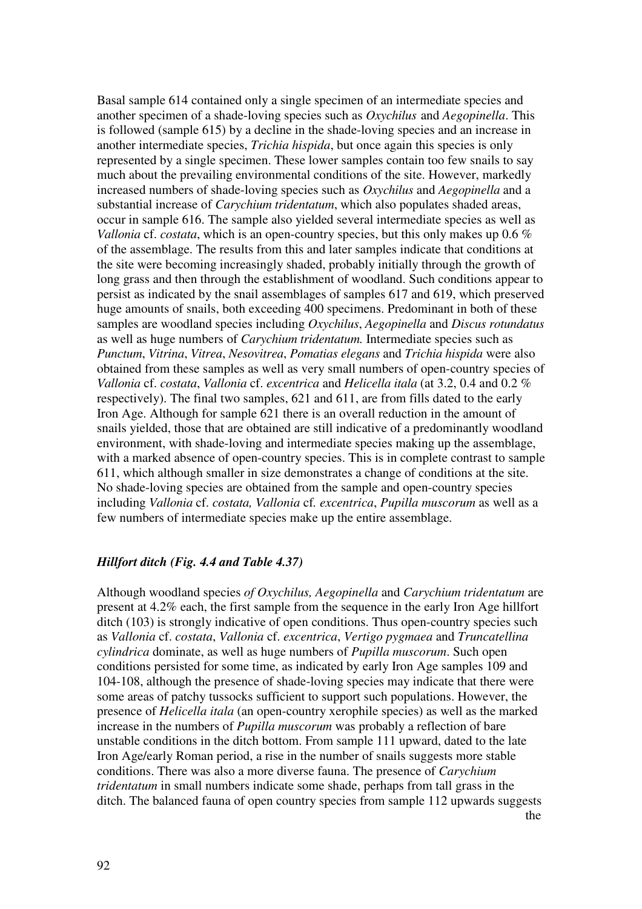Basal sample 614 contained only a single specimen of an intermediate species and another specimen of a shade-loving species such as *Oxychilus* and *Aegopinella*. This is followed (sample 615) by a decline in the shade-loving species and an increase in another intermediate species, *Trichia hispida*, but once again this species is only represented by a single specimen. These lower samples contain too few snails to say much about the prevailing environmental conditions of the site. However, markedly increased numbers of shade-loving species such as *Oxychilus* and *Aegopinella* and a substantial increase of *Carychium tridentatum*, which also populates shaded areas, occur in sample 616. The sample also yielded several intermediate species as well as *Vallonia* cf. *costata*, which is an open-country species, but this only makes up 0.6 % of the assemblage. The results from this and later samples indicate that conditions at the site were becoming increasingly shaded, probably initially through the growth of long grass and then through the establishment of woodland. Such conditions appear to persist as indicated by the snail assemblages of samples 617 and 619, which preserved huge amounts of snails, both exceeding 400 specimens. Predominant in both of these samples are woodland species including *Oxychilus*, *Aegopinella* and *Discus rotundatus*  as well as huge numbers of *Carychium tridentatum.* Intermediate species such as *Punctum*, *Vitrina*, *Vitrea*, *Nesovitrea*, *Pomatias elegans* and *Trichia hispida* were also obtained from these samples as well as very small numbers of open-country species of *Vallonia* cf. *costata*, *Vallonia* cf. *excentrica* and *Helicella itala* (at 3.2, 0.4 and 0.2 % respectively). The final two samples, 621 and 611, are from fills dated to the early Iron Age. Although for sample 621 there is an overall reduction in the amount of snails yielded, those that are obtained are still indicative of a predominantly woodland environment, with shade-loving and intermediate species making up the assemblage, with a marked absence of open-country species. This is in complete contrast to sample 611, which although smaller in size demonstrates a change of conditions at the site. No shade-loving species are obtained from the sample and open-country species including *Vallonia* cf. *costata, Vallonia* cf*. excentrica*, *Pupilla muscorum* as well as a few numbers of intermediate species make up the entire assemblage.

# *Hillfort ditch (Fig. 4.4 and Table 4.37)*

Although woodland species *of Oxychilus, Aegopinella* and *Carychium tridentatum* are present at 4.2% each, the first sample from the sequence in the early Iron Age hillfort ditch (103) is strongly indicative of open conditions. Thus open-country species such as *Vallonia* cf. *costata*, *Vallonia* cf. *excentrica*, *Vertigo pygmaea* and *Truncatellina cylindrica* dominate, as well as huge numbers of *Pupilla muscorum*. Such open conditions persisted for some time, as indicated by early Iron Age samples 109 and 104-108, although the presence of shade-loving species may indicate that there were some areas of patchy tussocks sufficient to support such populations. However, the presence of *Helicella itala* (an open-country xerophile species) as well as the marked increase in the numbers of *Pupilla muscorum* was probably a reflection of bare unstable conditions in the ditch bottom. From sample 111 upward, dated to the late Iron Age/early Roman period, a rise in the number of snails suggests more stable conditions. There was also a more diverse fauna. The presence of *Carychium tridentatum* in small numbers indicate some shade, perhaps from tall grass in the ditch. The balanced fauna of open country species from sample 112 upwards suggests the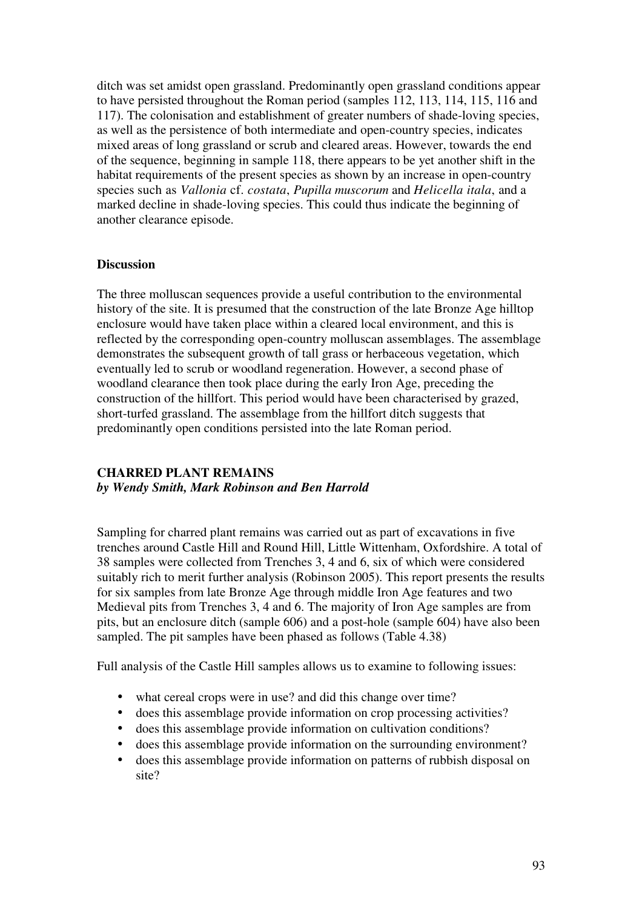ditch was set amidst open grassland. Predominantly open grassland conditions appear to have persisted throughout the Roman period (samples 112, 113, 114, 115, 116 and 117). The colonisation and establishment of greater numbers of shade-loving species, as well as the persistence of both intermediate and open-country species, indicates mixed areas of long grassland or scrub and cleared areas. However, towards the end of the sequence, beginning in sample 118, there appears to be yet another shift in the habitat requirements of the present species as shown by an increase in open-country species such as *Vallonia* cf. *costata*, *Pupilla muscorum* and *Helicella itala*, and a marked decline in shade-loving species. This could thus indicate the beginning of another clearance episode.

# **Discussion**

The three molluscan sequences provide a useful contribution to the environmental history of the site. It is presumed that the construction of the late Bronze Age hilltop enclosure would have taken place within a cleared local environment, and this is reflected by the corresponding open-country molluscan assemblages. The assemblage demonstrates the subsequent growth of tall grass or herbaceous vegetation, which eventually led to scrub or woodland regeneration. However, a second phase of woodland clearance then took place during the early Iron Age, preceding the construction of the hillfort. This period would have been characterised by grazed, short-turfed grassland. The assemblage from the hillfort ditch suggests that predominantly open conditions persisted into the late Roman period.

# **CHARRED PLANT REMAINS**  *by Wendy Smith, Mark Robinson and Ben Harrold*

Sampling for charred plant remains was carried out as part of excavations in five trenches around Castle Hill and Round Hill, Little Wittenham, Oxfordshire. A total of 38 samples were collected from Trenches 3, 4 and 6, six of which were considered suitably rich to merit further analysis (Robinson 2005). This report presents the results for six samples from late Bronze Age through middle Iron Age features and two Medieval pits from Trenches 3, 4 and 6. The majority of Iron Age samples are from pits, but an enclosure ditch (sample 606) and a post-hole (sample 604) have also been sampled. The pit samples have been phased as follows (Table 4.38)

Full analysis of the Castle Hill samples allows us to examine to following issues:

- what cereal crops were in use? and did this change over time?
- does this assemblage provide information on crop processing activities?
- does this assemblage provide information on cultivation conditions?
- does this assemblage provide information on the surrounding environment?
- does this assemblage provide information on patterns of rubbish disposal on site?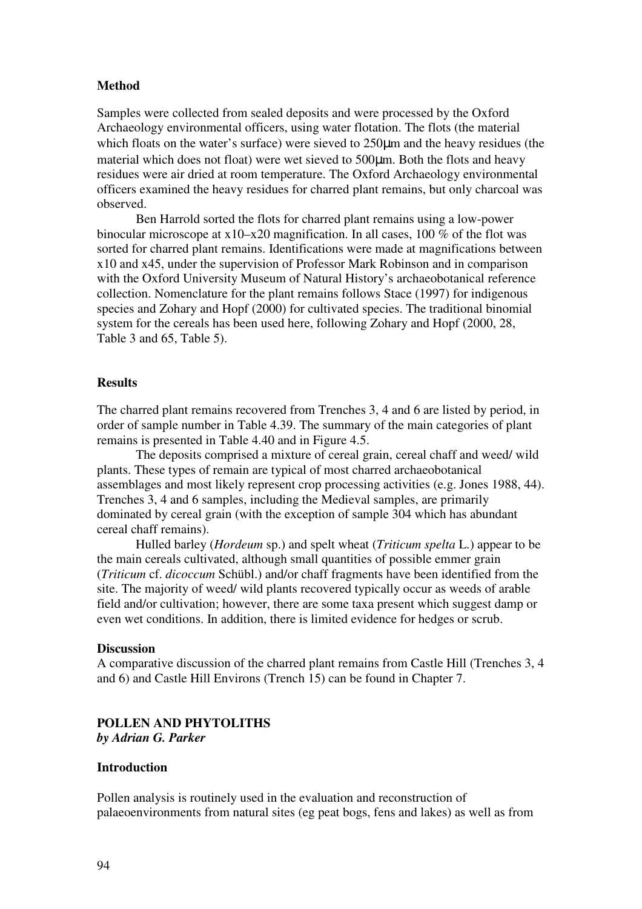# **Method**

Samples were collected from sealed deposits and were processed by the Oxford Archaeology environmental officers, using water flotation. The flots (the material which floats on the water's surface) were sieved to  $250\mu m$  and the heavy residues (the material which does not float) were wet sieved to 500µm. Both the flots and heavy residues were air dried at room temperature. The Oxford Archaeology environmental officers examined the heavy residues for charred plant remains, but only charcoal was observed.

Ben Harrold sorted the flots for charred plant remains using a low-power binocular microscope at x10–x20 magnification. In all cases, 100 % of the flot was sorted for charred plant remains. Identifications were made at magnifications between x10 and x45, under the supervision of Professor Mark Robinson and in comparison with the Oxford University Museum of Natural History's archaeobotanical reference collection. Nomenclature for the plant remains follows Stace (1997) for indigenous species and Zohary and Hopf (2000) for cultivated species. The traditional binomial system for the cereals has been used here, following Zohary and Hopf (2000, 28, Table 3 and 65, Table 5).

## **Results**

The charred plant remains recovered from Trenches 3, 4 and 6 are listed by period, in order of sample number in Table 4.39. The summary of the main categories of plant remains is presented in Table 4.40 and in Figure 4.5.

The deposits comprised a mixture of cereal grain, cereal chaff and weed/ wild plants. These types of remain are typical of most charred archaeobotanical assemblages and most likely represent crop processing activities (e.g. Jones 1988, 44). Trenches 3, 4 and 6 samples, including the Medieval samples, are primarily dominated by cereal grain (with the exception of sample 304 which has abundant cereal chaff remains).

Hulled barley (*Hordeum* sp.) and spelt wheat (*Triticum spelta* L.) appear to be the main cereals cultivated, although small quantities of possible emmer grain (*Triticum* cf. *dicoccum* Schübl.) and/or chaff fragments have been identified from the site. The majority of weed/ wild plants recovered typically occur as weeds of arable field and/or cultivation; however, there are some taxa present which suggest damp or even wet conditions. In addition, there is limited evidence for hedges or scrub.

#### **Discussion**

A comparative discussion of the charred plant remains from Castle Hill (Trenches 3, 4 and 6) and Castle Hill Environs (Trench 15) can be found in Chapter 7.

# **POLLEN AND PHYTOLITHS**  *by Adrian G. Parker*

### **Introduction**

Pollen analysis is routinely used in the evaluation and reconstruction of palaeoenvironments from natural sites (eg peat bogs, fens and lakes) as well as from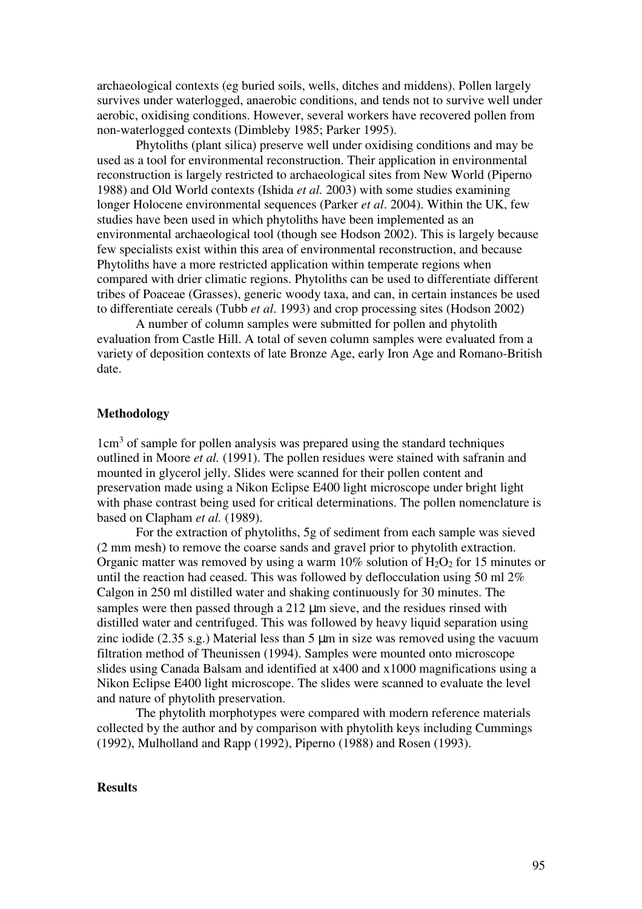archaeological contexts (eg buried soils, wells, ditches and middens). Pollen largely survives under waterlogged, anaerobic conditions, and tends not to survive well under aerobic, oxidising conditions. However, several workers have recovered pollen from non-waterlogged contexts (Dimbleby 1985; Parker 1995).

 Phytoliths (plant silica) preserve well under oxidising conditions and may be used as a tool for environmental reconstruction. Their application in environmental reconstruction is largely restricted to archaeological sites from New World (Piperno 1988) and Old World contexts (Ishida *et al.* 2003) with some studies examining longer Holocene environmental sequences (Parker *et al*. 2004). Within the UK, few studies have been used in which phytoliths have been implemented as an environmental archaeological tool (though see Hodson 2002). This is largely because few specialists exist within this area of environmental reconstruction, and because Phytoliths have a more restricted application within temperate regions when compared with drier climatic regions. Phytoliths can be used to differentiate different tribes of Poaceae (Grasses), generic woody taxa, and can, in certain instances be used to differentiate cereals (Tubb *et al*. 1993) and crop processing sites (Hodson 2002)

 A number of column samples were submitted for pollen and phytolith evaluation from Castle Hill. A total of seven column samples were evaluated from a variety of deposition contexts of late Bronze Age, early Iron Age and Romano-British date.

## **Methodology**

1cm<sup>3</sup> of sample for pollen analysis was prepared using the standard techniques outlined in Moore *et al.* (1991). The pollen residues were stained with safranin and mounted in glycerol jelly. Slides were scanned for their pollen content and preservation made using a Nikon Eclipse E400 light microscope under bright light with phase contrast being used for critical determinations. The pollen nomenclature is based on Clapham *et al.* (1989).

For the extraction of phytoliths, 5g of sediment from each sample was sieved (2 mm mesh) to remove the coarse sands and gravel prior to phytolith extraction. Organic matter was removed by using a warm  $10\%$  solution of  $H_2O_2$  for 15 minutes or until the reaction had ceased. This was followed by deflocculation using 50 ml 2% Calgon in 250 ml distilled water and shaking continuously for 30 minutes. The samples were then passed through a 212  $\mu$ m sieve, and the residues rinsed with distilled water and centrifuged. This was followed by heavy liquid separation using zinc iodide (2.35 s.g.) Material less than 5 µm in size was removed using the vacuum filtration method of Theunissen (1994). Samples were mounted onto microscope slides using Canada Balsam and identified at x400 and x1000 magnifications using a Nikon Eclipse E400 light microscope. The slides were scanned to evaluate the level and nature of phytolith preservation.

 The phytolith morphotypes were compared with modern reference materials collected by the author and by comparison with phytolith keys including Cummings (1992), Mulholland and Rapp (1992), Piperno (1988) and Rosen (1993).

#### **Results**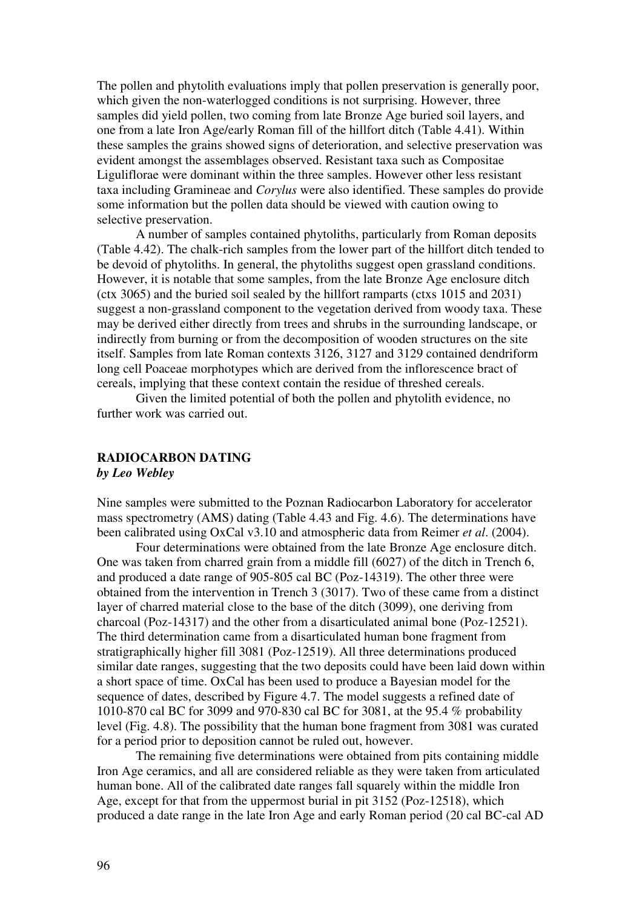The pollen and phytolith evaluations imply that pollen preservation is generally poor, which given the non-waterlogged conditions is not surprising. However, three samples did yield pollen, two coming from late Bronze Age buried soil layers, and one from a late Iron Age/early Roman fill of the hillfort ditch (Table 4.41). Within these samples the grains showed signs of deterioration, and selective preservation was evident amongst the assemblages observed. Resistant taxa such as Compositae Liguliflorae were dominant within the three samples. However other less resistant taxa including Gramineae and *Corylus* were also identified. These samples do provide some information but the pollen data should be viewed with caution owing to selective preservation.

 A number of samples contained phytoliths, particularly from Roman deposits (Table 4.42). The chalk-rich samples from the lower part of the hillfort ditch tended to be devoid of phytoliths. In general, the phytoliths suggest open grassland conditions. However, it is notable that some samples, from the late Bronze Age enclosure ditch (ctx 3065) and the buried soil sealed by the hillfort ramparts (ctxs 1015 and 2031) suggest a non-grassland component to the vegetation derived from woody taxa. These may be derived either directly from trees and shrubs in the surrounding landscape, or indirectly from burning or from the decomposition of wooden structures on the site itself. Samples from late Roman contexts 3126, 3127 and 3129 contained dendriform long cell Poaceae morphotypes which are derived from the inflorescence bract of cereals, implying that these context contain the residue of threshed cereals.

 Given the limited potential of both the pollen and phytolith evidence, no further work was carried out.

# **RADIOCARBON DATING**  *by Leo Webley*

Nine samples were submitted to the Poznan Radiocarbon Laboratory for accelerator mass spectrometry (AMS) dating (Table 4.43 and Fig. 4.6). The determinations have been calibrated using OxCal v3.10 and atmospheric data from Reimer *et al*. (2004).

 Four determinations were obtained from the late Bronze Age enclosure ditch. One was taken from charred grain from a middle fill (6027) of the ditch in Trench 6, and produced a date range of 905-805 cal BC (Poz-14319). The other three were obtained from the intervention in Trench 3 (3017). Two of these came from a distinct layer of charred material close to the base of the ditch (3099), one deriving from charcoal (Poz-14317) and the other from a disarticulated animal bone (Poz-12521). The third determination came from a disarticulated human bone fragment from stratigraphically higher fill 3081 (Poz-12519). All three determinations produced similar date ranges, suggesting that the two deposits could have been laid down within a short space of time. OxCal has been used to produce a Bayesian model for the sequence of dates, described by Figure 4.7. The model suggests a refined date of 1010-870 cal BC for 3099 and 970-830 cal BC for 3081, at the 95.4 % probability level (Fig. 4.8). The possibility that the human bone fragment from 3081 was curated for a period prior to deposition cannot be ruled out, however.

 The remaining five determinations were obtained from pits containing middle Iron Age ceramics, and all are considered reliable as they were taken from articulated human bone. All of the calibrated date ranges fall squarely within the middle Iron Age, except for that from the uppermost burial in pit 3152 (Poz-12518), which produced a date range in the late Iron Age and early Roman period (20 cal BC-cal AD